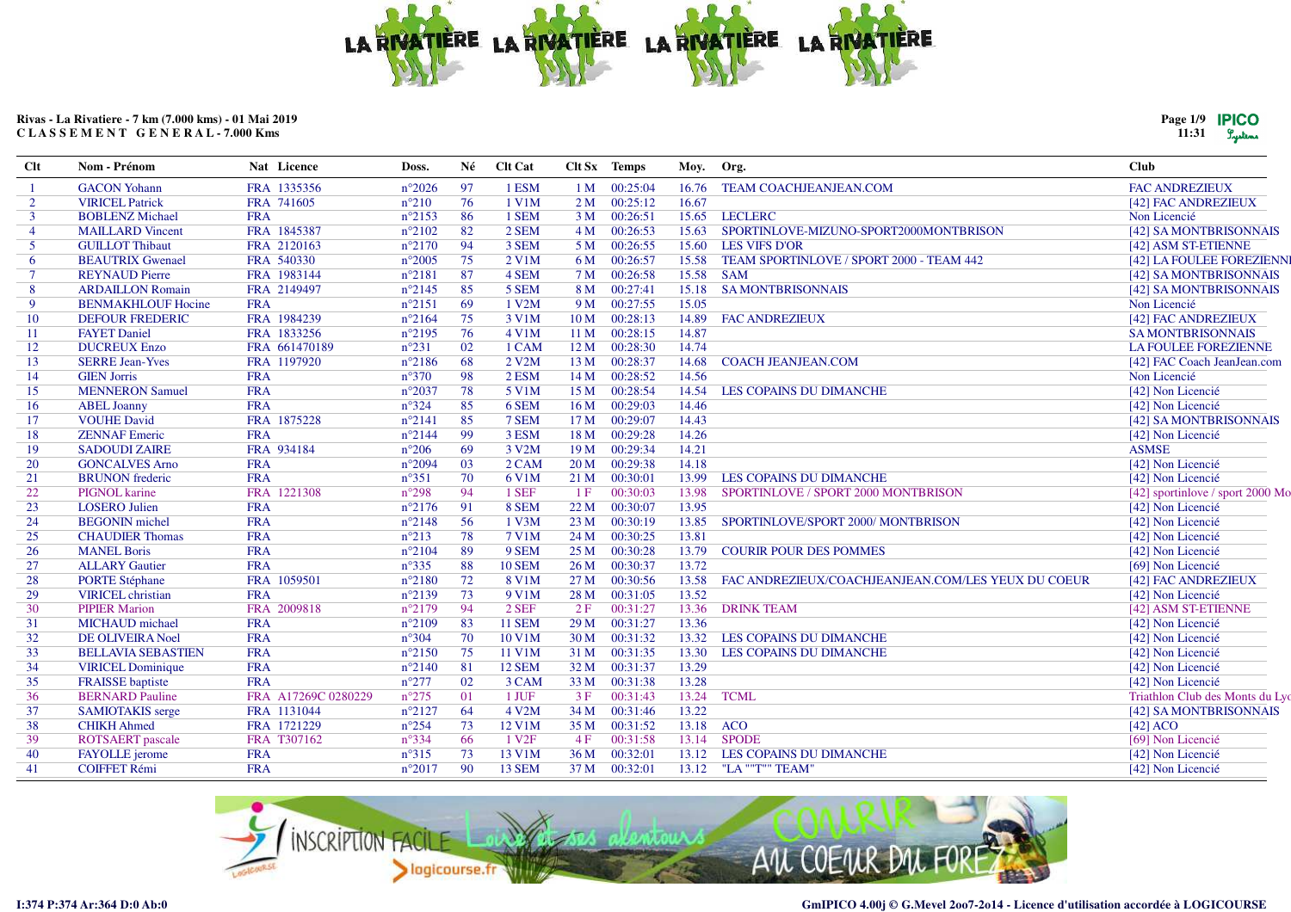

| Page 1/9 | <b>IPICO</b> |
|----------|--------------|
| 11:31    | Luters       |

| FRA 1335356<br>97<br><b>FAC ANDREZIEUX</b><br><b>GACON</b> Yohann<br>$n^{\circ}2026$<br>1 ESM<br>00:25:04<br><b>TEAM COACHJEANJEAN.COM</b><br>1 M<br>16.76<br>76<br>00:25:12<br>$\overline{2}$<br>FRA 741605<br>$n^{\circ}210$<br>1 V1M<br>2 <sub>M</sub><br>16.67<br><b>VIRICEL Patrick</b><br>[42] FAC ANDREZIEUX<br>86<br>00:26:51<br>15.65 LECLERC<br>$\mathbf{3}$<br><b>BOBLENZ Michael</b><br><b>FRA</b><br>$n^{\circ}2153$<br>1 SEM<br>3 <sub>M</sub><br>Non Licencié<br>FRA 1845387<br>$n^{\circ}2102$<br>82<br>2 SEM<br>00:26:53<br><b>MAILLARD Vincent</b><br>4M<br>15.63<br>SPORTINLOVE-MIZUNO-SPORT2000MONTBRISON<br>$\overline{\mathbf{4}}$ | [42] SA MONTBRISONNAIS           |
|----------------------------------------------------------------------------------------------------------------------------------------------------------------------------------------------------------------------------------------------------------------------------------------------------------------------------------------------------------------------------------------------------------------------------------------------------------------------------------------------------------------------------------------------------------------------------------------------------------------------------------------------------------|----------------------------------|
|                                                                                                                                                                                                                                                                                                                                                                                                                                                                                                                                                                                                                                                          |                                  |
|                                                                                                                                                                                                                                                                                                                                                                                                                                                                                                                                                                                                                                                          |                                  |
|                                                                                                                                                                                                                                                                                                                                                                                                                                                                                                                                                                                                                                                          |                                  |
|                                                                                                                                                                                                                                                                                                                                                                                                                                                                                                                                                                                                                                                          |                                  |
| 94<br>3 SEM<br>15.60 LES VIFS D'OR<br>$5^{\circ}$<br><b>GUILLOT Thibaut</b><br>FRA 2120163<br>$n^{\circ}2170$<br>5 M<br>00:26:55<br>[42] ASM ST-ETIENNE                                                                                                                                                                                                                                                                                                                                                                                                                                                                                                  |                                  |
| $n^{\circ}2005$<br>75<br>2 V1M<br>00:26:57<br>15.58<br>TEAM SPORTINLOVE / SPORT 2000 - TEAM 442<br>6<br><b>BEAUTRIX Gwenael</b><br>FRA 540330<br>6 M                                                                                                                                                                                                                                                                                                                                                                                                                                                                                                     | [42] LA FOULEE FOREZIENNI        |
| 87<br>4 SEM<br>00:26:58<br>15.58<br>$\tau$<br><b>REYNAUD Pierre</b><br>FRA 1983144<br>$n^{\circ}2181$<br>7 <sub>M</sub><br><b>SAM</b>                                                                                                                                                                                                                                                                                                                                                                                                                                                                                                                    | [42] SA MONTBRISONNAIS           |
| 8<br>FRA 2149497<br>$n^{\circ}2145$<br>85<br>5 SEM<br>8 M<br>00:27:41<br>15.18<br><b>SA MONTBRISONNAIS</b><br><b>ARDAILLON Romain</b>                                                                                                                                                                                                                                                                                                                                                                                                                                                                                                                    | [42] SA MONTBRISONNAIS           |
| $n^{\circ}2151$<br>69<br>1 V2M<br>9 M<br>00:27:55<br>15.05<br>Non Licencié<br>9<br><b>BENMAKHLOUF Hocine</b><br><b>FRA</b>                                                                                                                                                                                                                                                                                                                                                                                                                                                                                                                               |                                  |
| FRA 1984239<br>$n^{\circ}2164$<br>75<br>00:28:13<br>14.89<br>10<br><b>DEFOUR FREDERIC</b><br>3 V1M<br>10 <sub>M</sub><br><b>FAC ANDREZIEUX</b><br>[42] FAC ANDREZIEUX                                                                                                                                                                                                                                                                                                                                                                                                                                                                                    |                                  |
| 76<br><b>FAYET Daniel</b><br>FRA 1833256<br>$n^{\circ}2195$<br>4 V1M<br>00:28:15<br>14.87<br><b>SA MONTBRISONNAIS</b><br>11<br>11 <sub>M</sub>                                                                                                                                                                                                                                                                                                                                                                                                                                                                                                           |                                  |
| $n^{\circ}231$<br>02<br>00:28:30<br><b>DUCREUX Enzo</b><br>FRA 661470189<br>1 CAM<br>12M<br>14.74<br><b>LA FOULEE FOREZIENNE</b><br>12                                                                                                                                                                                                                                                                                                                                                                                                                                                                                                                   |                                  |
| 68<br><b>SERRE Jean-Yves</b><br>FRA 1197920<br>$n^{\circ}2186$<br>2 V <sub>2</sub> M<br>13 M<br>00:28:37<br>14.68<br><b>COACH JEANJEAN.COM</b><br>13                                                                                                                                                                                                                                                                                                                                                                                                                                                                                                     | [42] FAC Coach JeanJean.com      |
| $n^{\circ}370$<br>98<br>00:28:52<br>14<br><b>GIEN Jorris</b><br><b>FRA</b><br>$2$ ESM<br>14M<br>14.56<br>Non Licencié                                                                                                                                                                                                                                                                                                                                                                                                                                                                                                                                    |                                  |
| 78<br>15<br><b>MENNERON Samuel</b><br><b>FRA</b><br>$n^{\circ}2037$<br>5 V1M<br>15 M<br>00:28:54<br>14.54<br>[42] Non Licencié<br>LES COPAINS DU DIMANCHE                                                                                                                                                                                                                                                                                                                                                                                                                                                                                                |                                  |
| <b>FRA</b><br>$n^{\circ}324$<br>85<br>00:29:03<br>[42] Non Licencié<br><b>ABEL Joanny</b><br>6 SEM<br>16 <sub>M</sub><br>14.46<br>16                                                                                                                                                                                                                                                                                                                                                                                                                                                                                                                     |                                  |
| 85<br>14.43<br><b>VOUHE David</b><br>FRA 1875228<br>$n^{\circ}2141$<br>7 SEM<br>17 M<br>00:29:07<br>17                                                                                                                                                                                                                                                                                                                                                                                                                                                                                                                                                   | [42] SA MONTBRISONNAIS           |
| 99<br>3 ESM<br>00:29:28<br>14.26<br>18<br><b>ZENNAF Emeric</b><br><b>FRA</b><br>$n^{\circ}2144$<br>18 <sub>M</sub><br>[42] Non Licencié                                                                                                                                                                                                                                                                                                                                                                                                                                                                                                                  |                                  |
| 69<br>FRA 934184<br>$n^{\circ}206$<br>3 V2M<br>00:29:34<br>14.21<br><b>ASMSE</b><br>19<br><b>SADOUDI ZAIRE</b><br>19 <sub>M</sub>                                                                                                                                                                                                                                                                                                                                                                                                                                                                                                                        |                                  |
| 03<br>14.18<br><b>GONCALVES Arno</b><br><b>FRA</b><br>$n^{\circ}2094$<br>$2$ CAM<br>20 <sub>M</sub><br>00:29:38<br>[42] Non Licencié<br>20                                                                                                                                                                                                                                                                                                                                                                                                                                                                                                               |                                  |
| <b>FRA</b><br>$n^{\circ}351$<br>70<br>6 V1M<br>00:30:01<br>LES COPAINS DU DIMANCHE<br>[42] Non Licencié<br><b>BRUNON</b> frederic<br>21 M<br>13.99<br>21                                                                                                                                                                                                                                                                                                                                                                                                                                                                                                 |                                  |
| 94<br>22<br>PIGNOL karine<br>FRA 1221308<br>$n^{\circ}298$<br>1 SEF<br>00:30:03<br>SPORTINLOVE / SPORT 2000 MONTBRISON<br>1F<br>13.98                                                                                                                                                                                                                                                                                                                                                                                                                                                                                                                    | [42] sportinlove / sport 2000 Mo |
| [42] Non Licencié<br>23<br><b>LOSERO</b> Julien<br><b>FRA</b><br>$n^{\circ}2176$<br>91<br>8 SEM<br>22 M<br>00:30:07<br>13.95                                                                                                                                                                                                                                                                                                                                                                                                                                                                                                                             |                                  |
| 56<br>24<br><b>BEGONIN</b> michel<br><b>FRA</b><br>$n^{\circ}2148$<br>1 V3M<br>23M<br>00:30:19<br>13.85<br>[42] Non Licencié<br>SPORTINLOVE/SPORT 2000/ MONTBRISON                                                                                                                                                                                                                                                                                                                                                                                                                                                                                       |                                  |
| <b>FRA</b><br>78<br><b>7 V1M</b><br>00:30:25<br>13.81<br>[42] Non Licencié<br>25<br><b>CHAUDIER Thomas</b><br>$n^{\circ}213$<br>24M                                                                                                                                                                                                                                                                                                                                                                                                                                                                                                                      |                                  |
| 89<br><b>MANEL Boris</b><br><b>FRA</b><br>$n^{\circ}2104$<br>9 SEM<br>25 M<br>00:30:28<br>13.79<br><b>COURIR POUR DES POMMES</b><br>[42] Non Licencié<br>26                                                                                                                                                                                                                                                                                                                                                                                                                                                                                              |                                  |
| <b>FRA</b><br>$n^{\circ}335$<br>88<br>13.72<br>27<br><b>ALLARY Gautier</b><br><b>10 SEM</b><br>26 <sub>M</sub><br>00:30:37<br>[69] Non Licencié                                                                                                                                                                                                                                                                                                                                                                                                                                                                                                          |                                  |
| 72<br>28<br><b>PORTE Stéphane</b><br>FRA 1059501<br>$n^{\circ}2180$<br>8 V1M<br>27 <sub>M</sub><br>00:30:56<br>13.58<br>FAC ANDREZIEUX/COACHJEANJEAN.COM/LES YEUX DU COEUR<br>[42] FAC ANDREZIEUX                                                                                                                                                                                                                                                                                                                                                                                                                                                        |                                  |
| <b>VIRICEL</b> christian<br><b>FRA</b><br>$n^{\circ}2139$<br>73<br>9 V1M<br>00:31:05<br>13.52<br>29<br>28 M<br>[42] Non Licencié                                                                                                                                                                                                                                                                                                                                                                                                                                                                                                                         |                                  |
| <b>PIPIER Marion</b><br>FRA 2009818<br>$n^{\circ}2179$<br>94<br>$2$ SEF<br>00:31:27<br>13.36<br><b>DRINK TEAM</b><br>[42] ASM ST-ETIENNE<br>30<br>2F                                                                                                                                                                                                                                                                                                                                                                                                                                                                                                     |                                  |
| <b>FRA</b><br>$n^{\circ}2109$<br>83<br><b>11 SEM</b><br>00:31:27<br>13.36<br>31<br><b>MICHAUD</b> michael<br>29 <sub>M</sub><br>[42] Non Licencié                                                                                                                                                                                                                                                                                                                                                                                                                                                                                                        |                                  |
| 32<br><b>FRA</b><br>$n^{\circ}304$<br>70<br>10 V1M<br>00:31:32<br>13.32<br>[42] Non Licencié<br><b>DE OLIVEIRA Noel</b><br>30 <sub>M</sub><br>LES COPAINS DU DIMANCHE                                                                                                                                                                                                                                                                                                                                                                                                                                                                                    |                                  |
| 33<br><b>FRA</b><br>$n^{\circ}2150$<br>75<br>11 V1M<br>31 M<br>00:31:35<br>13.30<br>[42] Non Licencié<br><b>BELLAVIA SEBASTIEN</b><br>LES COPAINS DU DIMANCHE                                                                                                                                                                                                                                                                                                                                                                                                                                                                                            |                                  |
| 81<br>13.29<br>34<br><b>FRA</b><br>$n^{\circ}2140$<br><b>12 SEM</b><br>32 M<br>00:31:37<br>[42] Non Licencié<br><b>VIRICEL Dominique</b>                                                                                                                                                                                                                                                                                                                                                                                                                                                                                                                 |                                  |
| $n^{\circ}277$<br>02<br>13.28<br>35<br><b>FRAISSE</b> baptiste<br><b>FRA</b><br>3 CAM<br>33 M<br>00:31:38<br>[42] Non Licencié                                                                                                                                                                                                                                                                                                                                                                                                                                                                                                                           |                                  |
| 01<br>36<br><b>BERNARD</b> Pauline<br>FRA A17269C 0280229<br>$n^{\circ}275$<br>1 JUF<br>00:31:43<br>13.24<br><b>TCML</b><br>3F                                                                                                                                                                                                                                                                                                                                                                                                                                                                                                                           | Triathlon Club des Monts du Lyo  |
| 64<br>00:31:46<br>13.22<br>37<br>FRA 1131044<br>$n^{\circ}2127$<br>4 V2M<br>34 M<br><b>SAMIOTAKIS</b> serge                                                                                                                                                                                                                                                                                                                                                                                                                                                                                                                                              | [42] SA MONTBRISONNAIS           |
| 13.18<br>FRA 1721229<br>$n^{\circ}254$<br>73<br>12 V1M<br>00:31:52<br><b>ACO</b><br>$[42]$ ACO<br>38<br><b>CHIKH Ahmed</b><br>35 M                                                                                                                                                                                                                                                                                                                                                                                                                                                                                                                       |                                  |
| $n^{\circ}334$<br>66<br><b>SPODE</b><br>39<br><b>ROTSAERT</b> pascale<br>FRA T307162<br>1 V <sub>2F</sub><br>00:31:58<br>13.14<br>[69] Non Licencié<br>4F                                                                                                                                                                                                                                                                                                                                                                                                                                                                                                |                                  |
| 40<br>73<br>13 V1M<br>FAYOLLE jerome<br><b>FRA</b><br>$n^{\circ}315$<br>36 M<br>00:32:01<br>13.12<br>LES COPAINS DU DIMANCHE<br>[42] Non Licencié                                                                                                                                                                                                                                                                                                                                                                                                                                                                                                        |                                  |
| 90<br><b>COIFFET Rémi</b><br><b>FRA</b><br>$n^{\circ}2017$<br><b>13 SEM</b><br>37 M<br>00:32:01<br>13.12 "LA ""T"" TEAM"<br>41<br>[42] Non Licencié                                                                                                                                                                                                                                                                                                                                                                                                                                                                                                      |                                  |

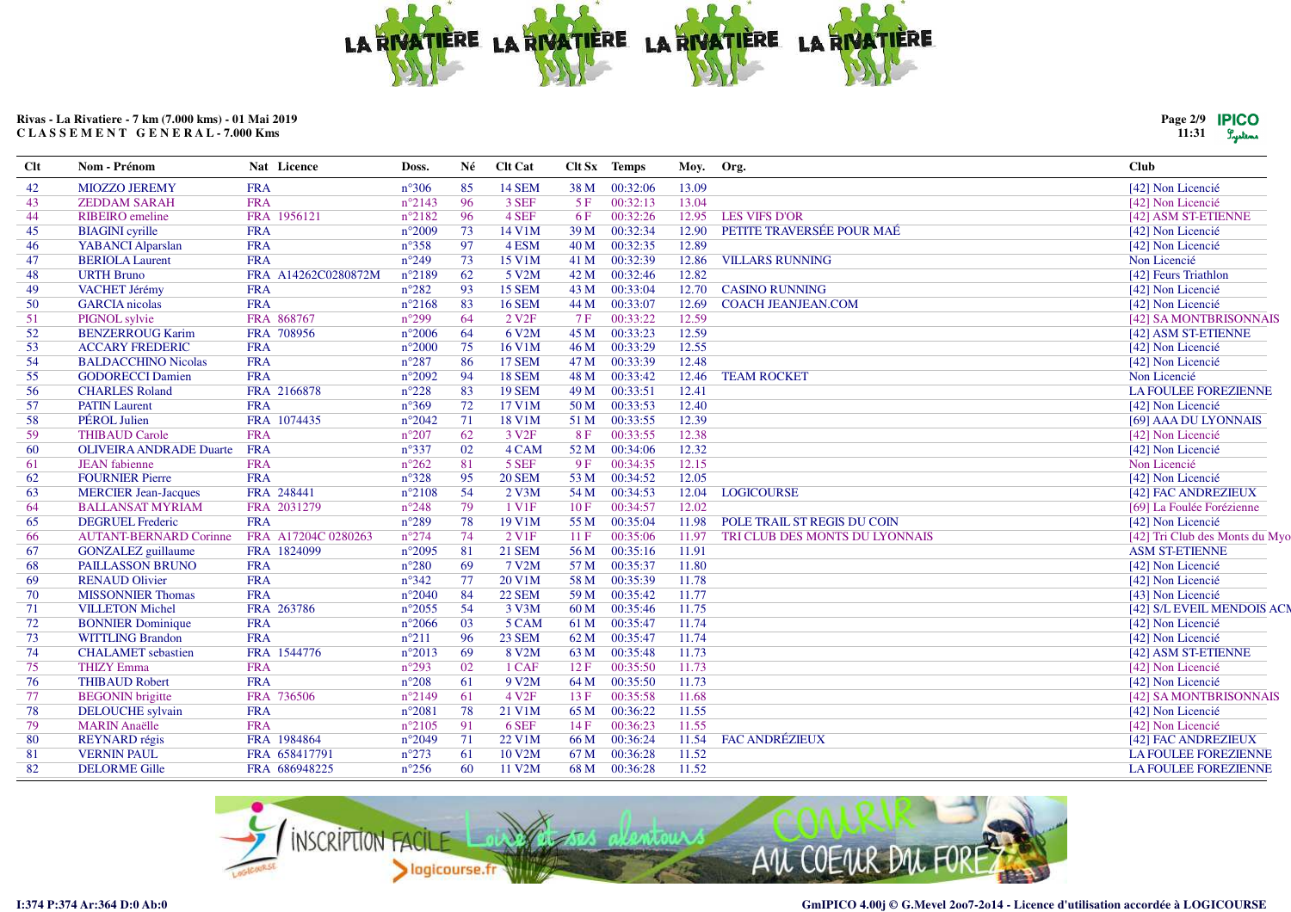

| Page 2/9 | <b>IPICO</b> |
|----------|--------------|
| 11:31    | Lystems      |

| 42<br><b>FRA</b><br>$n^{\circ}306$<br>85<br><b>14 SEM</b><br>00:32:06<br>13.09<br>[42] Non Licencié<br><b>MIOZZO JEREMY</b><br>38 M<br>96<br><b>FRA</b><br>$n^{\circ}2143$<br>3 SEF<br>00:32:13<br>13.04<br>43<br>5F<br>[42] Non Licencié<br><b>ZEDDAM SARAH</b><br>96<br>4 SEF<br>FRA 1956121<br>$n^{\circ}2182$<br>6F<br>00:32:26<br>12.95<br><b>LES VIFS D'OR</b><br>44<br><b>RIBEIRO</b> emeline<br>[42] ASM ST-ETIENNE<br>00:32:34<br>PETITE TRAVERSÉE POUR MAÉ<br><b>BIAGINI</b> cyrille<br><b>FRA</b><br>$n^{\circ}2009$<br>73<br>14 V1M<br>39 M<br>12.90<br>[42] Non Licencié<br>45<br>97<br>00:32:35<br>12.89<br><b>YABANCI</b> Alparslan<br><b>FRA</b><br>$n^{\circ}358$<br>4 ESM<br>40 M<br>[42] Non Licencié<br>46<br>73<br>47<br><b>FRA</b><br>$n^{\circ}249$<br>00:32:39<br>12.86<br><b>VILLARS RUNNING</b><br>Non Licencié<br><b>BERIOLA Laurent</b><br>15 V1M<br>41 M<br>$n^{\circ}2189$<br>62<br>12.82<br>48<br><b>URTH Bruno</b><br>FRA A14262C0280872M<br>5 V2M<br>42 M<br>00:32:46<br>[42] Feurs Triathlon<br>VACHET Jérémy<br><b>FRA</b><br>$n^{\circ}282$<br>93<br>15 SEM<br>00:33:04<br>12.70<br><b>CASINO RUNNING</b><br>[42] Non Licencié<br>49<br>43 M<br><b>FRA</b><br>$n^{\circ}2168$<br>83<br><b>16 SEM</b><br>00:33:07<br><b>COACH JEANJEAN.COM</b><br>50<br><b>GARCIA</b> nicolas<br>44 M<br>12.69<br>[42] Non Licencié<br>FRA 868767<br>$n^{\circ}299$<br>64<br>00:33:22<br>PIGNOL sylvie<br>2 V <sub>2F</sub><br>12.59<br>[42] SA MONTBRISONNAIS<br>51<br>7 F<br>64<br>12.59<br>52<br><b>BENZERROUG Karim</b><br>FRA 708956<br>$n^{\circ}2006$<br>6 V2M<br>45 M<br>00:33:23<br>[42] ASM ST-ETIENNE<br><b>FRA</b><br>$n^{\circ}2000$<br>75<br>16 V1M<br>00:33:29<br>12.55<br>53<br><b>ACCARY FREDERIC</b><br>46 M<br>[42] Non Licencié<br>54<br><b>FRA</b><br>$n^{\circ}287$<br>86<br><b>17 SEM</b><br>47 M<br>00:33:39<br>12.48<br><b>BALDACCHINO Nicolas</b><br>[42] Non Licencié<br><b>FRA</b><br>$n^{\circ}2092$<br>94<br><b>18 SEM</b><br>00:33:42<br>12.46<br><b>TEAM ROCKET</b><br>Non Licencié<br>55<br><b>GODORECCI Damien</b><br>48 M<br>83<br>56<br><b>CHARLES Roland</b><br>FRA 2166878<br>$n^{\circ}228$<br><b>19 SEM</b><br>00:33:51<br>12.41<br>LA FOULEE FOREZIENNE<br>49 M<br>72<br><b>FRA</b><br>$n^{\circ}369$<br>12.40<br>57<br><b>PATIN Laurent</b><br>17 V1M<br>50 M<br>00:33:53<br>[42] Non Licencié<br>PÉROL Julien<br>FRA 1074435<br>71<br><b>18 V1M</b><br>12.39<br>58<br>$n^{\circ}2042$<br>51 M<br>00:33:55<br>[69] AAA DU LYONNAIS<br>62<br><b>FRA</b><br>$n^{\circ}207$<br>3 V <sub>2F</sub><br>00:33:55<br>12.38<br>59<br><b>THIBAUD Carole</b><br>8F<br>[42] Non Licencié<br><b>FRA</b><br>02<br>4 CAM<br>00:34:06<br>12.32<br>60<br><b>OLIVEIRA ANDRADE Duarte</b><br>$n^{\circ}337$<br>52 M<br>[42] Non Licencié<br>81<br><b>FRA</b><br>$n^{\circ}262$<br>5 SEF<br>00:34:35<br>12.15<br><b>JEAN</b> fabienne<br>9F<br>Non Licencié<br>61<br><b>FOURNIER Pierre</b><br><b>FRA</b><br>$n^{\circ}328$<br>95<br><b>20 SEM</b><br>12.05<br>53 M<br>00:34:52<br>[42] Non Licencié<br>62<br>54<br>FRA 248441<br>$n^{\circ}2108$<br>$2$ V3M<br>63<br><b>MERCIER Jean-Jacques</b><br>54 M<br>00:34:53<br>12.04<br><b>LOGICOURSE</b><br>[42] FAC ANDREZIEUX<br>79<br>FRA 2031279<br>1 V <sub>1</sub> F<br>00:34:57<br>12.02<br>64<br><b>BALLANSAT MYRIAM</b><br>$n^{\circ}248$<br>10F<br>[69] La Foulée Forézienne<br>78<br><b>DEGRUEL Frederic</b><br><b>FRA</b><br>$n^{\circ}289$<br>19 V1M<br>00:35:04<br>POLE TRAIL ST REGIS DU COIN<br>[42] Non Licencié<br>65<br>55 M<br>11.98<br>74<br>2 V <sub>1F</sub><br>00:35:06<br>FRA A17204C 0280263<br>$n^{\circ}274$<br>11F<br>11.97<br>TRI CLUB DES MONTS DU LYONNAIS<br>66<br><b>AUTANT-BERNARD Corinne</b><br>81<br>67<br>FRA 1824099<br>$n^{\circ}2095$<br><b>21 SEM</b><br>56 M<br>00:35:16<br>11.91<br><b>ASM ST-ETIENNE</b><br><b>GONZALEZ</b> guillaume<br><b>FRA</b><br>69<br>11.80<br>68<br><b>PAILLASSON BRUNO</b><br>$n^{\circ}280$<br>7 V2M<br>57 M<br>00:35:37<br>[42] Non Licencié<br>77<br><b>RENAUD Olivier</b><br><b>FRA</b><br>$n^{\circ}342$<br>00:35:39<br>11.78<br>69<br>20 V1M<br>58 M<br>[42] Non Licencié<br><b>FRA</b><br>$n^{\circ}2040$<br>84<br>00:35:42<br>11.77<br><b>MISSONNIER Thomas</b><br><b>22 SEM</b><br>59 M<br>[43] Non Licencié<br>70<br>54<br>FRA 263786<br>$n^{\circ}2055$<br>3 V3M<br>00:35:46<br>11.75<br>71<br><b>VILLETON Michel</b><br>60 M<br>03<br>11.74<br>72<br><b>BONNIER</b> Dominique<br><b>FRA</b><br>$n^{\circ}2066$<br>5 CAM<br>00:35:47<br>[42] Non Licencié<br>61 M<br><b>FRA</b><br>96<br><b>23 SEM</b><br>00:35:47<br>11.74<br>73<br><b>WITTLING Brandon</b><br>$n^{\circ}211$<br>62 M<br>[42] Non Licencié<br>FRA 1544776<br>$n^{\circ}2013$<br>69<br>8 V2M<br>00:35:48<br>11.73<br>74<br><b>CHALAMET</b> sebastien<br>63 M<br>[42] ASM ST-ETIENNE<br><b>THIZY Emma</b><br><b>FRA</b><br>$n^{\circ}293$<br>02<br>1 CAF<br>00:35:50<br>11.73<br>75<br>12F<br>[42] Non Licencié<br>61<br>11.73<br><b>FRA</b><br>$n^{\circ}208$<br>9 V2M<br>00:35:50<br>76<br><b>THIBAUD Robert</b><br>64 M<br>[42] Non Licencié<br>61<br>11.68<br><b>BEGONIN</b> brigitte<br>FRA 736506<br>$n^{\circ}2149$<br>4 V <sub>2F</sub><br>00:35:58<br>[42] SA MONTBRISONNAIS<br>77<br>13F | <b>Clt</b> | Nom - Prénom            | Nat Licence | Doss.           | Né | <b>Clt Cat</b> |      | Clt Sx Temps | Moy. Org. | <b>Club</b>       |
|-----------------------------------------------------------------------------------------------------------------------------------------------------------------------------------------------------------------------------------------------------------------------------------------------------------------------------------------------------------------------------------------------------------------------------------------------------------------------------------------------------------------------------------------------------------------------------------------------------------------------------------------------------------------------------------------------------------------------------------------------------------------------------------------------------------------------------------------------------------------------------------------------------------------------------------------------------------------------------------------------------------------------------------------------------------------------------------------------------------------------------------------------------------------------------------------------------------------------------------------------------------------------------------------------------------------------------------------------------------------------------------------------------------------------------------------------------------------------------------------------------------------------------------------------------------------------------------------------------------------------------------------------------------------------------------------------------------------------------------------------------------------------------------------------------------------------------------------------------------------------------------------------------------------------------------------------------------------------------------------------------------------------------------------------------------------------------------------------------------------------------------------------------------------------------------------------------------------------------------------------------------------------------------------------------------------------------------------------------------------------------------------------------------------------------------------------------------------------------------------------------------------------------------------------------------------------------------------------------------------------------------------------------------------------------------------------------------------------------------------------------------------------------------------------------------------------------------------------------------------------------------------------------------------------------------------------------------------------------------------------------------------------------------------------------------------------------------------------------------------------------------------------------------------------------------------------------------------------------------------------------------------------------------------------------------------------------------------------------------------------------------------------------------------------------------------------------------------------------------------------------------------------------------------------------------------------------------------------------------------------------------------------------------------------------------------------------------------------------------------------------------------------------------------------------------------------------------------------------------------------------------------------------------------------------------------------------------------------------------------------------------------------------------------------------------------------------------------------------------------------------------------------------------------------------------------------------------------------------------------------------------------------------------------------------------------------------------------------------------------------------------------------------------------------------------------------------------------------------------------------------------------------------------------------------------------------------------------------------------------------------------------------------------------------------------------------------------------------------------------------------------------------------------------------------------------------------------------------------------------------------------------------------------------------------------------------------------------------------------------------------------------------------------------------------------------------------------------------------------------------------------------------------------------------------------------------------------------------------------------|------------|-------------------------|-------------|-----------------|----|----------------|------|--------------|-----------|-------------------|
| [42] Tri Club des Monts du My<br>[42] S/L EVEIL MENDOIS AC                                                                                                                                                                                                                                                                                                                                                                                                                                                                                                                                                                                                                                                                                                                                                                                                                                                                                                                                                                                                                                                                                                                                                                                                                                                                                                                                                                                                                                                                                                                                                                                                                                                                                                                                                                                                                                                                                                                                                                                                                                                                                                                                                                                                                                                                                                                                                                                                                                                                                                                                                                                                                                                                                                                                                                                                                                                                                                                                                                                                                                                                                                                                                                                                                                                                                                                                                                                                                                                                                                                                                                                                                                                                                                                                                                                                                                                                                                                                                                                                                                                                                                                                                                                                                                                                                                                                                                                                                                                                                                                                                                                                                                                                                                                                                                                                                                                                                                                                                                                                                                                                                                                                                                              |            |                         |             |                 |    |                |      |              |           |                   |
|                                                                                                                                                                                                                                                                                                                                                                                                                                                                                                                                                                                                                                                                                                                                                                                                                                                                                                                                                                                                                                                                                                                                                                                                                                                                                                                                                                                                                                                                                                                                                                                                                                                                                                                                                                                                                                                                                                                                                                                                                                                                                                                                                                                                                                                                                                                                                                                                                                                                                                                                                                                                                                                                                                                                                                                                                                                                                                                                                                                                                                                                                                                                                                                                                                                                                                                                                                                                                                                                                                                                                                                                                                                                                                                                                                                                                                                                                                                                                                                                                                                                                                                                                                                                                                                                                                                                                                                                                                                                                                                                                                                                                                                                                                                                                                                                                                                                                                                                                                                                                                                                                                                                                                                                                                         |            |                         |             |                 |    |                |      |              |           |                   |
|                                                                                                                                                                                                                                                                                                                                                                                                                                                                                                                                                                                                                                                                                                                                                                                                                                                                                                                                                                                                                                                                                                                                                                                                                                                                                                                                                                                                                                                                                                                                                                                                                                                                                                                                                                                                                                                                                                                                                                                                                                                                                                                                                                                                                                                                                                                                                                                                                                                                                                                                                                                                                                                                                                                                                                                                                                                                                                                                                                                                                                                                                                                                                                                                                                                                                                                                                                                                                                                                                                                                                                                                                                                                                                                                                                                                                                                                                                                                                                                                                                                                                                                                                                                                                                                                                                                                                                                                                                                                                                                                                                                                                                                                                                                                                                                                                                                                                                                                                                                                                                                                                                                                                                                                                                         |            |                         |             |                 |    |                |      |              |           |                   |
|                                                                                                                                                                                                                                                                                                                                                                                                                                                                                                                                                                                                                                                                                                                                                                                                                                                                                                                                                                                                                                                                                                                                                                                                                                                                                                                                                                                                                                                                                                                                                                                                                                                                                                                                                                                                                                                                                                                                                                                                                                                                                                                                                                                                                                                                                                                                                                                                                                                                                                                                                                                                                                                                                                                                                                                                                                                                                                                                                                                                                                                                                                                                                                                                                                                                                                                                                                                                                                                                                                                                                                                                                                                                                                                                                                                                                                                                                                                                                                                                                                                                                                                                                                                                                                                                                                                                                                                                                                                                                                                                                                                                                                                                                                                                                                                                                                                                                                                                                                                                                                                                                                                                                                                                                                         |            |                         |             |                 |    |                |      |              |           |                   |
|                                                                                                                                                                                                                                                                                                                                                                                                                                                                                                                                                                                                                                                                                                                                                                                                                                                                                                                                                                                                                                                                                                                                                                                                                                                                                                                                                                                                                                                                                                                                                                                                                                                                                                                                                                                                                                                                                                                                                                                                                                                                                                                                                                                                                                                                                                                                                                                                                                                                                                                                                                                                                                                                                                                                                                                                                                                                                                                                                                                                                                                                                                                                                                                                                                                                                                                                                                                                                                                                                                                                                                                                                                                                                                                                                                                                                                                                                                                                                                                                                                                                                                                                                                                                                                                                                                                                                                                                                                                                                                                                                                                                                                                                                                                                                                                                                                                                                                                                                                                                                                                                                                                                                                                                                                         |            |                         |             |                 |    |                |      |              |           |                   |
|                                                                                                                                                                                                                                                                                                                                                                                                                                                                                                                                                                                                                                                                                                                                                                                                                                                                                                                                                                                                                                                                                                                                                                                                                                                                                                                                                                                                                                                                                                                                                                                                                                                                                                                                                                                                                                                                                                                                                                                                                                                                                                                                                                                                                                                                                                                                                                                                                                                                                                                                                                                                                                                                                                                                                                                                                                                                                                                                                                                                                                                                                                                                                                                                                                                                                                                                                                                                                                                                                                                                                                                                                                                                                                                                                                                                                                                                                                                                                                                                                                                                                                                                                                                                                                                                                                                                                                                                                                                                                                                                                                                                                                                                                                                                                                                                                                                                                                                                                                                                                                                                                                                                                                                                                                         |            |                         |             |                 |    |                |      |              |           |                   |
|                                                                                                                                                                                                                                                                                                                                                                                                                                                                                                                                                                                                                                                                                                                                                                                                                                                                                                                                                                                                                                                                                                                                                                                                                                                                                                                                                                                                                                                                                                                                                                                                                                                                                                                                                                                                                                                                                                                                                                                                                                                                                                                                                                                                                                                                                                                                                                                                                                                                                                                                                                                                                                                                                                                                                                                                                                                                                                                                                                                                                                                                                                                                                                                                                                                                                                                                                                                                                                                                                                                                                                                                                                                                                                                                                                                                                                                                                                                                                                                                                                                                                                                                                                                                                                                                                                                                                                                                                                                                                                                                                                                                                                                                                                                                                                                                                                                                                                                                                                                                                                                                                                                                                                                                                                         |            |                         |             |                 |    |                |      |              |           |                   |
|                                                                                                                                                                                                                                                                                                                                                                                                                                                                                                                                                                                                                                                                                                                                                                                                                                                                                                                                                                                                                                                                                                                                                                                                                                                                                                                                                                                                                                                                                                                                                                                                                                                                                                                                                                                                                                                                                                                                                                                                                                                                                                                                                                                                                                                                                                                                                                                                                                                                                                                                                                                                                                                                                                                                                                                                                                                                                                                                                                                                                                                                                                                                                                                                                                                                                                                                                                                                                                                                                                                                                                                                                                                                                                                                                                                                                                                                                                                                                                                                                                                                                                                                                                                                                                                                                                                                                                                                                                                                                                                                                                                                                                                                                                                                                                                                                                                                                                                                                                                                                                                                                                                                                                                                                                         |            |                         |             |                 |    |                |      |              |           |                   |
|                                                                                                                                                                                                                                                                                                                                                                                                                                                                                                                                                                                                                                                                                                                                                                                                                                                                                                                                                                                                                                                                                                                                                                                                                                                                                                                                                                                                                                                                                                                                                                                                                                                                                                                                                                                                                                                                                                                                                                                                                                                                                                                                                                                                                                                                                                                                                                                                                                                                                                                                                                                                                                                                                                                                                                                                                                                                                                                                                                                                                                                                                                                                                                                                                                                                                                                                                                                                                                                                                                                                                                                                                                                                                                                                                                                                                                                                                                                                                                                                                                                                                                                                                                                                                                                                                                                                                                                                                                                                                                                                                                                                                                                                                                                                                                                                                                                                                                                                                                                                                                                                                                                                                                                                                                         |            |                         |             |                 |    |                |      |              |           |                   |
|                                                                                                                                                                                                                                                                                                                                                                                                                                                                                                                                                                                                                                                                                                                                                                                                                                                                                                                                                                                                                                                                                                                                                                                                                                                                                                                                                                                                                                                                                                                                                                                                                                                                                                                                                                                                                                                                                                                                                                                                                                                                                                                                                                                                                                                                                                                                                                                                                                                                                                                                                                                                                                                                                                                                                                                                                                                                                                                                                                                                                                                                                                                                                                                                                                                                                                                                                                                                                                                                                                                                                                                                                                                                                                                                                                                                                                                                                                                                                                                                                                                                                                                                                                                                                                                                                                                                                                                                                                                                                                                                                                                                                                                                                                                                                                                                                                                                                                                                                                                                                                                                                                                                                                                                                                         |            |                         |             |                 |    |                |      |              |           |                   |
|                                                                                                                                                                                                                                                                                                                                                                                                                                                                                                                                                                                                                                                                                                                                                                                                                                                                                                                                                                                                                                                                                                                                                                                                                                                                                                                                                                                                                                                                                                                                                                                                                                                                                                                                                                                                                                                                                                                                                                                                                                                                                                                                                                                                                                                                                                                                                                                                                                                                                                                                                                                                                                                                                                                                                                                                                                                                                                                                                                                                                                                                                                                                                                                                                                                                                                                                                                                                                                                                                                                                                                                                                                                                                                                                                                                                                                                                                                                                                                                                                                                                                                                                                                                                                                                                                                                                                                                                                                                                                                                                                                                                                                                                                                                                                                                                                                                                                                                                                                                                                                                                                                                                                                                                                                         |            |                         |             |                 |    |                |      |              |           |                   |
|                                                                                                                                                                                                                                                                                                                                                                                                                                                                                                                                                                                                                                                                                                                                                                                                                                                                                                                                                                                                                                                                                                                                                                                                                                                                                                                                                                                                                                                                                                                                                                                                                                                                                                                                                                                                                                                                                                                                                                                                                                                                                                                                                                                                                                                                                                                                                                                                                                                                                                                                                                                                                                                                                                                                                                                                                                                                                                                                                                                                                                                                                                                                                                                                                                                                                                                                                                                                                                                                                                                                                                                                                                                                                                                                                                                                                                                                                                                                                                                                                                                                                                                                                                                                                                                                                                                                                                                                                                                                                                                                                                                                                                                                                                                                                                                                                                                                                                                                                                                                                                                                                                                                                                                                                                         |            |                         |             |                 |    |                |      |              |           |                   |
|                                                                                                                                                                                                                                                                                                                                                                                                                                                                                                                                                                                                                                                                                                                                                                                                                                                                                                                                                                                                                                                                                                                                                                                                                                                                                                                                                                                                                                                                                                                                                                                                                                                                                                                                                                                                                                                                                                                                                                                                                                                                                                                                                                                                                                                                                                                                                                                                                                                                                                                                                                                                                                                                                                                                                                                                                                                                                                                                                                                                                                                                                                                                                                                                                                                                                                                                                                                                                                                                                                                                                                                                                                                                                                                                                                                                                                                                                                                                                                                                                                                                                                                                                                                                                                                                                                                                                                                                                                                                                                                                                                                                                                                                                                                                                                                                                                                                                                                                                                                                                                                                                                                                                                                                                                         |            |                         |             |                 |    |                |      |              |           |                   |
|                                                                                                                                                                                                                                                                                                                                                                                                                                                                                                                                                                                                                                                                                                                                                                                                                                                                                                                                                                                                                                                                                                                                                                                                                                                                                                                                                                                                                                                                                                                                                                                                                                                                                                                                                                                                                                                                                                                                                                                                                                                                                                                                                                                                                                                                                                                                                                                                                                                                                                                                                                                                                                                                                                                                                                                                                                                                                                                                                                                                                                                                                                                                                                                                                                                                                                                                                                                                                                                                                                                                                                                                                                                                                                                                                                                                                                                                                                                                                                                                                                                                                                                                                                                                                                                                                                                                                                                                                                                                                                                                                                                                                                                                                                                                                                                                                                                                                                                                                                                                                                                                                                                                                                                                                                         |            |                         |             |                 |    |                |      |              |           |                   |
|                                                                                                                                                                                                                                                                                                                                                                                                                                                                                                                                                                                                                                                                                                                                                                                                                                                                                                                                                                                                                                                                                                                                                                                                                                                                                                                                                                                                                                                                                                                                                                                                                                                                                                                                                                                                                                                                                                                                                                                                                                                                                                                                                                                                                                                                                                                                                                                                                                                                                                                                                                                                                                                                                                                                                                                                                                                                                                                                                                                                                                                                                                                                                                                                                                                                                                                                                                                                                                                                                                                                                                                                                                                                                                                                                                                                                                                                                                                                                                                                                                                                                                                                                                                                                                                                                                                                                                                                                                                                                                                                                                                                                                                                                                                                                                                                                                                                                                                                                                                                                                                                                                                                                                                                                                         |            |                         |             |                 |    |                |      |              |           |                   |
|                                                                                                                                                                                                                                                                                                                                                                                                                                                                                                                                                                                                                                                                                                                                                                                                                                                                                                                                                                                                                                                                                                                                                                                                                                                                                                                                                                                                                                                                                                                                                                                                                                                                                                                                                                                                                                                                                                                                                                                                                                                                                                                                                                                                                                                                                                                                                                                                                                                                                                                                                                                                                                                                                                                                                                                                                                                                                                                                                                                                                                                                                                                                                                                                                                                                                                                                                                                                                                                                                                                                                                                                                                                                                                                                                                                                                                                                                                                                                                                                                                                                                                                                                                                                                                                                                                                                                                                                                                                                                                                                                                                                                                                                                                                                                                                                                                                                                                                                                                                                                                                                                                                                                                                                                                         |            |                         |             |                 |    |                |      |              |           |                   |
|                                                                                                                                                                                                                                                                                                                                                                                                                                                                                                                                                                                                                                                                                                                                                                                                                                                                                                                                                                                                                                                                                                                                                                                                                                                                                                                                                                                                                                                                                                                                                                                                                                                                                                                                                                                                                                                                                                                                                                                                                                                                                                                                                                                                                                                                                                                                                                                                                                                                                                                                                                                                                                                                                                                                                                                                                                                                                                                                                                                                                                                                                                                                                                                                                                                                                                                                                                                                                                                                                                                                                                                                                                                                                                                                                                                                                                                                                                                                                                                                                                                                                                                                                                                                                                                                                                                                                                                                                                                                                                                                                                                                                                                                                                                                                                                                                                                                                                                                                                                                                                                                                                                                                                                                                                         |            |                         |             |                 |    |                |      |              |           |                   |
|                                                                                                                                                                                                                                                                                                                                                                                                                                                                                                                                                                                                                                                                                                                                                                                                                                                                                                                                                                                                                                                                                                                                                                                                                                                                                                                                                                                                                                                                                                                                                                                                                                                                                                                                                                                                                                                                                                                                                                                                                                                                                                                                                                                                                                                                                                                                                                                                                                                                                                                                                                                                                                                                                                                                                                                                                                                                                                                                                                                                                                                                                                                                                                                                                                                                                                                                                                                                                                                                                                                                                                                                                                                                                                                                                                                                                                                                                                                                                                                                                                                                                                                                                                                                                                                                                                                                                                                                                                                                                                                                                                                                                                                                                                                                                                                                                                                                                                                                                                                                                                                                                                                                                                                                                                         |            |                         |             |                 |    |                |      |              |           |                   |
|                                                                                                                                                                                                                                                                                                                                                                                                                                                                                                                                                                                                                                                                                                                                                                                                                                                                                                                                                                                                                                                                                                                                                                                                                                                                                                                                                                                                                                                                                                                                                                                                                                                                                                                                                                                                                                                                                                                                                                                                                                                                                                                                                                                                                                                                                                                                                                                                                                                                                                                                                                                                                                                                                                                                                                                                                                                                                                                                                                                                                                                                                                                                                                                                                                                                                                                                                                                                                                                                                                                                                                                                                                                                                                                                                                                                                                                                                                                                                                                                                                                                                                                                                                                                                                                                                                                                                                                                                                                                                                                                                                                                                                                                                                                                                                                                                                                                                                                                                                                                                                                                                                                                                                                                                                         |            |                         |             |                 |    |                |      |              |           |                   |
|                                                                                                                                                                                                                                                                                                                                                                                                                                                                                                                                                                                                                                                                                                                                                                                                                                                                                                                                                                                                                                                                                                                                                                                                                                                                                                                                                                                                                                                                                                                                                                                                                                                                                                                                                                                                                                                                                                                                                                                                                                                                                                                                                                                                                                                                                                                                                                                                                                                                                                                                                                                                                                                                                                                                                                                                                                                                                                                                                                                                                                                                                                                                                                                                                                                                                                                                                                                                                                                                                                                                                                                                                                                                                                                                                                                                                                                                                                                                                                                                                                                                                                                                                                                                                                                                                                                                                                                                                                                                                                                                                                                                                                                                                                                                                                                                                                                                                                                                                                                                                                                                                                                                                                                                                                         |            |                         |             |                 |    |                |      |              |           |                   |
|                                                                                                                                                                                                                                                                                                                                                                                                                                                                                                                                                                                                                                                                                                                                                                                                                                                                                                                                                                                                                                                                                                                                                                                                                                                                                                                                                                                                                                                                                                                                                                                                                                                                                                                                                                                                                                                                                                                                                                                                                                                                                                                                                                                                                                                                                                                                                                                                                                                                                                                                                                                                                                                                                                                                                                                                                                                                                                                                                                                                                                                                                                                                                                                                                                                                                                                                                                                                                                                                                                                                                                                                                                                                                                                                                                                                                                                                                                                                                                                                                                                                                                                                                                                                                                                                                                                                                                                                                                                                                                                                                                                                                                                                                                                                                                                                                                                                                                                                                                                                                                                                                                                                                                                                                                         |            |                         |             |                 |    |                |      |              |           |                   |
|                                                                                                                                                                                                                                                                                                                                                                                                                                                                                                                                                                                                                                                                                                                                                                                                                                                                                                                                                                                                                                                                                                                                                                                                                                                                                                                                                                                                                                                                                                                                                                                                                                                                                                                                                                                                                                                                                                                                                                                                                                                                                                                                                                                                                                                                                                                                                                                                                                                                                                                                                                                                                                                                                                                                                                                                                                                                                                                                                                                                                                                                                                                                                                                                                                                                                                                                                                                                                                                                                                                                                                                                                                                                                                                                                                                                                                                                                                                                                                                                                                                                                                                                                                                                                                                                                                                                                                                                                                                                                                                                                                                                                                                                                                                                                                                                                                                                                                                                                                                                                                                                                                                                                                                                                                         |            |                         |             |                 |    |                |      |              |           |                   |
|                                                                                                                                                                                                                                                                                                                                                                                                                                                                                                                                                                                                                                                                                                                                                                                                                                                                                                                                                                                                                                                                                                                                                                                                                                                                                                                                                                                                                                                                                                                                                                                                                                                                                                                                                                                                                                                                                                                                                                                                                                                                                                                                                                                                                                                                                                                                                                                                                                                                                                                                                                                                                                                                                                                                                                                                                                                                                                                                                                                                                                                                                                                                                                                                                                                                                                                                                                                                                                                                                                                                                                                                                                                                                                                                                                                                                                                                                                                                                                                                                                                                                                                                                                                                                                                                                                                                                                                                                                                                                                                                                                                                                                                                                                                                                                                                                                                                                                                                                                                                                                                                                                                                                                                                                                         |            |                         |             |                 |    |                |      |              |           |                   |
|                                                                                                                                                                                                                                                                                                                                                                                                                                                                                                                                                                                                                                                                                                                                                                                                                                                                                                                                                                                                                                                                                                                                                                                                                                                                                                                                                                                                                                                                                                                                                                                                                                                                                                                                                                                                                                                                                                                                                                                                                                                                                                                                                                                                                                                                                                                                                                                                                                                                                                                                                                                                                                                                                                                                                                                                                                                                                                                                                                                                                                                                                                                                                                                                                                                                                                                                                                                                                                                                                                                                                                                                                                                                                                                                                                                                                                                                                                                                                                                                                                                                                                                                                                                                                                                                                                                                                                                                                                                                                                                                                                                                                                                                                                                                                                                                                                                                                                                                                                                                                                                                                                                                                                                                                                         |            |                         |             |                 |    |                |      |              |           |                   |
|                                                                                                                                                                                                                                                                                                                                                                                                                                                                                                                                                                                                                                                                                                                                                                                                                                                                                                                                                                                                                                                                                                                                                                                                                                                                                                                                                                                                                                                                                                                                                                                                                                                                                                                                                                                                                                                                                                                                                                                                                                                                                                                                                                                                                                                                                                                                                                                                                                                                                                                                                                                                                                                                                                                                                                                                                                                                                                                                                                                                                                                                                                                                                                                                                                                                                                                                                                                                                                                                                                                                                                                                                                                                                                                                                                                                                                                                                                                                                                                                                                                                                                                                                                                                                                                                                                                                                                                                                                                                                                                                                                                                                                                                                                                                                                                                                                                                                                                                                                                                                                                                                                                                                                                                                                         |            |                         |             |                 |    |                |      |              |           |                   |
|                                                                                                                                                                                                                                                                                                                                                                                                                                                                                                                                                                                                                                                                                                                                                                                                                                                                                                                                                                                                                                                                                                                                                                                                                                                                                                                                                                                                                                                                                                                                                                                                                                                                                                                                                                                                                                                                                                                                                                                                                                                                                                                                                                                                                                                                                                                                                                                                                                                                                                                                                                                                                                                                                                                                                                                                                                                                                                                                                                                                                                                                                                                                                                                                                                                                                                                                                                                                                                                                                                                                                                                                                                                                                                                                                                                                                                                                                                                                                                                                                                                                                                                                                                                                                                                                                                                                                                                                                                                                                                                                                                                                                                                                                                                                                                                                                                                                                                                                                                                                                                                                                                                                                                                                                                         |            |                         |             |                 |    |                |      |              |           |                   |
|                                                                                                                                                                                                                                                                                                                                                                                                                                                                                                                                                                                                                                                                                                                                                                                                                                                                                                                                                                                                                                                                                                                                                                                                                                                                                                                                                                                                                                                                                                                                                                                                                                                                                                                                                                                                                                                                                                                                                                                                                                                                                                                                                                                                                                                                                                                                                                                                                                                                                                                                                                                                                                                                                                                                                                                                                                                                                                                                                                                                                                                                                                                                                                                                                                                                                                                                                                                                                                                                                                                                                                                                                                                                                                                                                                                                                                                                                                                                                                                                                                                                                                                                                                                                                                                                                                                                                                                                                                                                                                                                                                                                                                                                                                                                                                                                                                                                                                                                                                                                                                                                                                                                                                                                                                         |            |                         |             |                 |    |                |      |              |           |                   |
|                                                                                                                                                                                                                                                                                                                                                                                                                                                                                                                                                                                                                                                                                                                                                                                                                                                                                                                                                                                                                                                                                                                                                                                                                                                                                                                                                                                                                                                                                                                                                                                                                                                                                                                                                                                                                                                                                                                                                                                                                                                                                                                                                                                                                                                                                                                                                                                                                                                                                                                                                                                                                                                                                                                                                                                                                                                                                                                                                                                                                                                                                                                                                                                                                                                                                                                                                                                                                                                                                                                                                                                                                                                                                                                                                                                                                                                                                                                                                                                                                                                                                                                                                                                                                                                                                                                                                                                                                                                                                                                                                                                                                                                                                                                                                                                                                                                                                                                                                                                                                                                                                                                                                                                                                                         |            |                         |             |                 |    |                |      |              |           |                   |
|                                                                                                                                                                                                                                                                                                                                                                                                                                                                                                                                                                                                                                                                                                                                                                                                                                                                                                                                                                                                                                                                                                                                                                                                                                                                                                                                                                                                                                                                                                                                                                                                                                                                                                                                                                                                                                                                                                                                                                                                                                                                                                                                                                                                                                                                                                                                                                                                                                                                                                                                                                                                                                                                                                                                                                                                                                                                                                                                                                                                                                                                                                                                                                                                                                                                                                                                                                                                                                                                                                                                                                                                                                                                                                                                                                                                                                                                                                                                                                                                                                                                                                                                                                                                                                                                                                                                                                                                                                                                                                                                                                                                                                                                                                                                                                                                                                                                                                                                                                                                                                                                                                                                                                                                                                         |            |                         |             |                 |    |                |      |              |           |                   |
|                                                                                                                                                                                                                                                                                                                                                                                                                                                                                                                                                                                                                                                                                                                                                                                                                                                                                                                                                                                                                                                                                                                                                                                                                                                                                                                                                                                                                                                                                                                                                                                                                                                                                                                                                                                                                                                                                                                                                                                                                                                                                                                                                                                                                                                                                                                                                                                                                                                                                                                                                                                                                                                                                                                                                                                                                                                                                                                                                                                                                                                                                                                                                                                                                                                                                                                                                                                                                                                                                                                                                                                                                                                                                                                                                                                                                                                                                                                                                                                                                                                                                                                                                                                                                                                                                                                                                                                                                                                                                                                                                                                                                                                                                                                                                                                                                                                                                                                                                                                                                                                                                                                                                                                                                                         |            |                         |             |                 |    |                |      |              |           |                   |
|                                                                                                                                                                                                                                                                                                                                                                                                                                                                                                                                                                                                                                                                                                                                                                                                                                                                                                                                                                                                                                                                                                                                                                                                                                                                                                                                                                                                                                                                                                                                                                                                                                                                                                                                                                                                                                                                                                                                                                                                                                                                                                                                                                                                                                                                                                                                                                                                                                                                                                                                                                                                                                                                                                                                                                                                                                                                                                                                                                                                                                                                                                                                                                                                                                                                                                                                                                                                                                                                                                                                                                                                                                                                                                                                                                                                                                                                                                                                                                                                                                                                                                                                                                                                                                                                                                                                                                                                                                                                                                                                                                                                                                                                                                                                                                                                                                                                                                                                                                                                                                                                                                                                                                                                                                         |            |                         |             |                 |    |                |      |              |           |                   |
|                                                                                                                                                                                                                                                                                                                                                                                                                                                                                                                                                                                                                                                                                                                                                                                                                                                                                                                                                                                                                                                                                                                                                                                                                                                                                                                                                                                                                                                                                                                                                                                                                                                                                                                                                                                                                                                                                                                                                                                                                                                                                                                                                                                                                                                                                                                                                                                                                                                                                                                                                                                                                                                                                                                                                                                                                                                                                                                                                                                                                                                                                                                                                                                                                                                                                                                                                                                                                                                                                                                                                                                                                                                                                                                                                                                                                                                                                                                                                                                                                                                                                                                                                                                                                                                                                                                                                                                                                                                                                                                                                                                                                                                                                                                                                                                                                                                                                                                                                                                                                                                                                                                                                                                                                                         |            |                         |             |                 |    |                |      |              |           |                   |
|                                                                                                                                                                                                                                                                                                                                                                                                                                                                                                                                                                                                                                                                                                                                                                                                                                                                                                                                                                                                                                                                                                                                                                                                                                                                                                                                                                                                                                                                                                                                                                                                                                                                                                                                                                                                                                                                                                                                                                                                                                                                                                                                                                                                                                                                                                                                                                                                                                                                                                                                                                                                                                                                                                                                                                                                                                                                                                                                                                                                                                                                                                                                                                                                                                                                                                                                                                                                                                                                                                                                                                                                                                                                                                                                                                                                                                                                                                                                                                                                                                                                                                                                                                                                                                                                                                                                                                                                                                                                                                                                                                                                                                                                                                                                                                                                                                                                                                                                                                                                                                                                                                                                                                                                                                         |            |                         |             |                 |    |                |      |              |           |                   |
|                                                                                                                                                                                                                                                                                                                                                                                                                                                                                                                                                                                                                                                                                                                                                                                                                                                                                                                                                                                                                                                                                                                                                                                                                                                                                                                                                                                                                                                                                                                                                                                                                                                                                                                                                                                                                                                                                                                                                                                                                                                                                                                                                                                                                                                                                                                                                                                                                                                                                                                                                                                                                                                                                                                                                                                                                                                                                                                                                                                                                                                                                                                                                                                                                                                                                                                                                                                                                                                                                                                                                                                                                                                                                                                                                                                                                                                                                                                                                                                                                                                                                                                                                                                                                                                                                                                                                                                                                                                                                                                                                                                                                                                                                                                                                                                                                                                                                                                                                                                                                                                                                                                                                                                                                                         |            |                         |             |                 |    |                |      |              |           |                   |
|                                                                                                                                                                                                                                                                                                                                                                                                                                                                                                                                                                                                                                                                                                                                                                                                                                                                                                                                                                                                                                                                                                                                                                                                                                                                                                                                                                                                                                                                                                                                                                                                                                                                                                                                                                                                                                                                                                                                                                                                                                                                                                                                                                                                                                                                                                                                                                                                                                                                                                                                                                                                                                                                                                                                                                                                                                                                                                                                                                                                                                                                                                                                                                                                                                                                                                                                                                                                                                                                                                                                                                                                                                                                                                                                                                                                                                                                                                                                                                                                                                                                                                                                                                                                                                                                                                                                                                                                                                                                                                                                                                                                                                                                                                                                                                                                                                                                                                                                                                                                                                                                                                                                                                                                                                         |            |                         |             |                 |    |                |      |              |           |                   |
|                                                                                                                                                                                                                                                                                                                                                                                                                                                                                                                                                                                                                                                                                                                                                                                                                                                                                                                                                                                                                                                                                                                                                                                                                                                                                                                                                                                                                                                                                                                                                                                                                                                                                                                                                                                                                                                                                                                                                                                                                                                                                                                                                                                                                                                                                                                                                                                                                                                                                                                                                                                                                                                                                                                                                                                                                                                                                                                                                                                                                                                                                                                                                                                                                                                                                                                                                                                                                                                                                                                                                                                                                                                                                                                                                                                                                                                                                                                                                                                                                                                                                                                                                                                                                                                                                                                                                                                                                                                                                                                                                                                                                                                                                                                                                                                                                                                                                                                                                                                                                                                                                                                                                                                                                                         |            |                         |             |                 |    |                |      |              |           |                   |
|                                                                                                                                                                                                                                                                                                                                                                                                                                                                                                                                                                                                                                                                                                                                                                                                                                                                                                                                                                                                                                                                                                                                                                                                                                                                                                                                                                                                                                                                                                                                                                                                                                                                                                                                                                                                                                                                                                                                                                                                                                                                                                                                                                                                                                                                                                                                                                                                                                                                                                                                                                                                                                                                                                                                                                                                                                                                                                                                                                                                                                                                                                                                                                                                                                                                                                                                                                                                                                                                                                                                                                                                                                                                                                                                                                                                                                                                                                                                                                                                                                                                                                                                                                                                                                                                                                                                                                                                                                                                                                                                                                                                                                                                                                                                                                                                                                                                                                                                                                                                                                                                                                                                                                                                                                         | 78         | <b>DELOUCHE</b> sylvain | <b>FRA</b>  | $n^{\circ}2081$ | 78 | 21 V1M         | 65 M | 00:36:22     | 11.55     | [42] Non Licencié |
| <b>MARIN</b> Anaëlle<br><b>FRA</b><br>$n^{\circ}2105$<br>91<br>79<br>6 SEF<br>14F<br>00:36:23<br>11.55<br>[42] Non Licencié                                                                                                                                                                                                                                                                                                                                                                                                                                                                                                                                                                                                                                                                                                                                                                                                                                                                                                                                                                                                                                                                                                                                                                                                                                                                                                                                                                                                                                                                                                                                                                                                                                                                                                                                                                                                                                                                                                                                                                                                                                                                                                                                                                                                                                                                                                                                                                                                                                                                                                                                                                                                                                                                                                                                                                                                                                                                                                                                                                                                                                                                                                                                                                                                                                                                                                                                                                                                                                                                                                                                                                                                                                                                                                                                                                                                                                                                                                                                                                                                                                                                                                                                                                                                                                                                                                                                                                                                                                                                                                                                                                                                                                                                                                                                                                                                                                                                                                                                                                                                                                                                                                             |            |                         |             |                 |    |                |      |              |           |                   |
| 71<br>22 V1M<br>11.54<br><b>FAC ANDRÉZIEUX</b><br>80<br><b>REYNARD</b> régis<br>FRA 1984864<br>$n^{\circ}2049$<br>66 M<br>00:36:24<br>[42] FAC ANDREZIEUX                                                                                                                                                                                                                                                                                                                                                                                                                                                                                                                                                                                                                                                                                                                                                                                                                                                                                                                                                                                                                                                                                                                                                                                                                                                                                                                                                                                                                                                                                                                                                                                                                                                                                                                                                                                                                                                                                                                                                                                                                                                                                                                                                                                                                                                                                                                                                                                                                                                                                                                                                                                                                                                                                                                                                                                                                                                                                                                                                                                                                                                                                                                                                                                                                                                                                                                                                                                                                                                                                                                                                                                                                                                                                                                                                                                                                                                                                                                                                                                                                                                                                                                                                                                                                                                                                                                                                                                                                                                                                                                                                                                                                                                                                                                                                                                                                                                                                                                                                                                                                                                                               |            |                         |             |                 |    |                |      |              |           |                   |
| $n^{\circ}273$<br>61<br>00:36:28<br>11.52<br>81<br><b>VERNIN PAUL</b><br>FRA 658417791<br>10 V2M<br>67 M<br><b>LA FOULEE FOREZIENNE</b>                                                                                                                                                                                                                                                                                                                                                                                                                                                                                                                                                                                                                                                                                                                                                                                                                                                                                                                                                                                                                                                                                                                                                                                                                                                                                                                                                                                                                                                                                                                                                                                                                                                                                                                                                                                                                                                                                                                                                                                                                                                                                                                                                                                                                                                                                                                                                                                                                                                                                                                                                                                                                                                                                                                                                                                                                                                                                                                                                                                                                                                                                                                                                                                                                                                                                                                                                                                                                                                                                                                                                                                                                                                                                                                                                                                                                                                                                                                                                                                                                                                                                                                                                                                                                                                                                                                                                                                                                                                                                                                                                                                                                                                                                                                                                                                                                                                                                                                                                                                                                                                                                                 |            |                         |             |                 |    |                |      |              |           |                   |
| 82<br>$n^{\circ}256$<br>60<br>11 V2M<br>00:36:28<br>11.52<br><b>DELORME Gille</b><br>FRA 686948225<br>68 M<br><b>LA FOULEE FOREZIENNE</b>                                                                                                                                                                                                                                                                                                                                                                                                                                                                                                                                                                                                                                                                                                                                                                                                                                                                                                                                                                                                                                                                                                                                                                                                                                                                                                                                                                                                                                                                                                                                                                                                                                                                                                                                                                                                                                                                                                                                                                                                                                                                                                                                                                                                                                                                                                                                                                                                                                                                                                                                                                                                                                                                                                                                                                                                                                                                                                                                                                                                                                                                                                                                                                                                                                                                                                                                                                                                                                                                                                                                                                                                                                                                                                                                                                                                                                                                                                                                                                                                                                                                                                                                                                                                                                                                                                                                                                                                                                                                                                                                                                                                                                                                                                                                                                                                                                                                                                                                                                                                                                                                                               |            |                         |             |                 |    |                |      |              |           |                   |

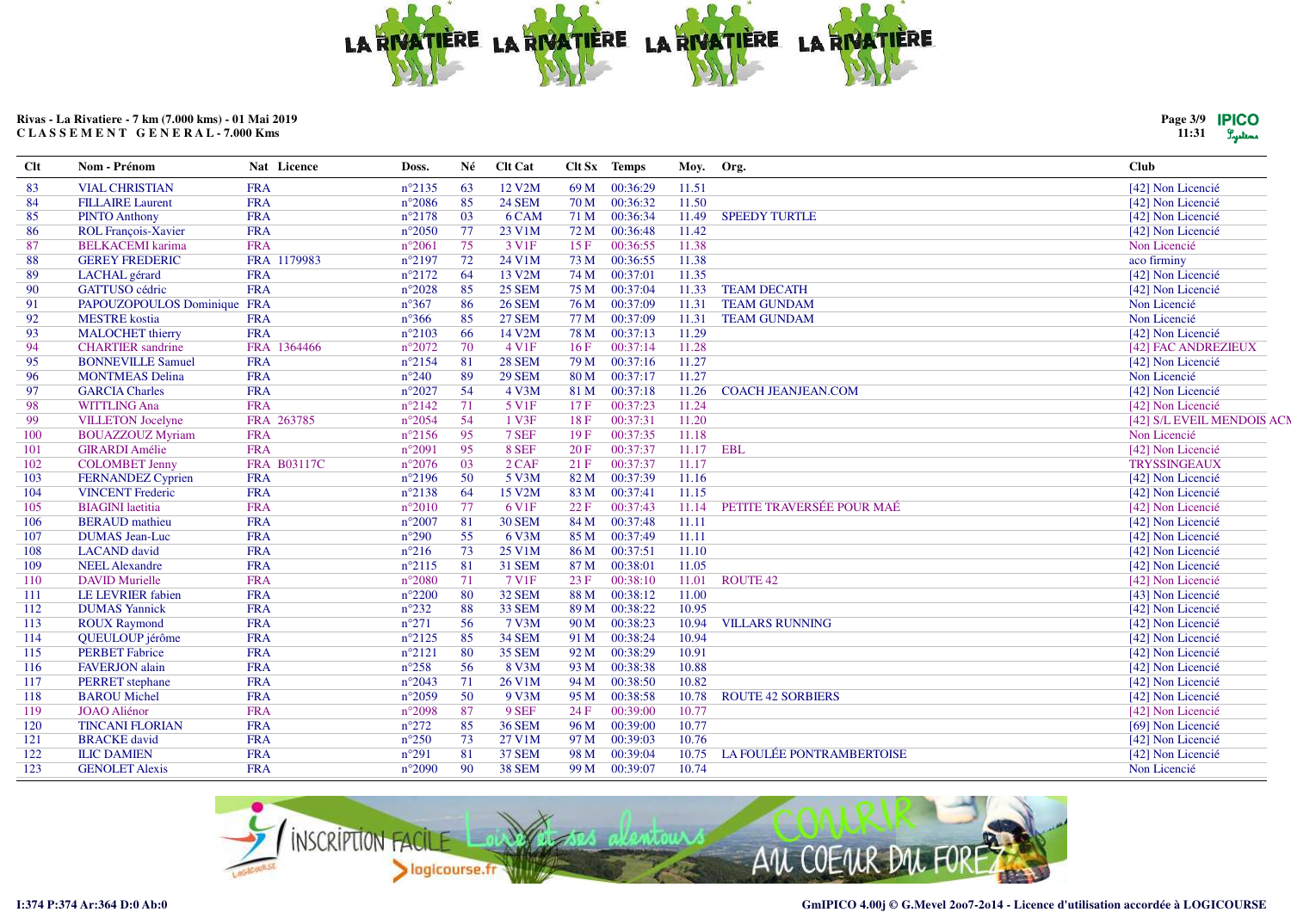

| Page 3/9 | <b>IPICO</b> |
|----------|--------------|
| 11:31    | Lystems      |

| Clt | Nom - Prénom                | Nat Licence        | Doss.           | Né | Clt Cat           |      | Clt Sx Temps  | Moy. Org. |                           | <b>Club</b>               |
|-----|-----------------------------|--------------------|-----------------|----|-------------------|------|---------------|-----------|---------------------------|---------------------------|
| 83  | <b>VIAL CHRISTIAN</b>       | <b>FRA</b>         | $n^{\circ}2135$ | 63 | 12 V2M            |      | 69 M 00:36:29 | 11.51     |                           | [42] Non Licencié         |
| 84  | <b>FILLAIRE</b> Laurent     | <b>FRA</b>         | $n^{\circ}2086$ | 85 | <b>24 SEM</b>     | 70 M | 00:36:32      | 11.50     |                           | [42] Non Licencié         |
| 85  | <b>PINTO Anthony</b>        | <b>FRA</b>         | $n^{\circ}2178$ | 03 | 6 CAM             | 71 M | 00:36:34      | 11.49     | <b>SPEEDY TURTLE</b>      | [42] Non Licencié         |
| 86  | <b>ROL François-Xavier</b>  | <b>FRA</b>         | $n^{\circ}2050$ | 77 | 23 V1M            | 72 M | 00:36:48      | 11.42     |                           | [42] Non Licencié         |
| 87  | <b>BELKACEMI</b> karima     | <b>FRA</b>         | $n^{\circ}2061$ | 75 | 3 V <sub>1F</sub> | 15F  | 00:36:55      | 11.38     |                           | Non Licencié              |
| 88  | <b>GEREY FREDERIC</b>       | FRA 1179983        | $n^{\circ}2197$ | 72 | 24 V1M            | 73 M | 00:36:55      | 11.38     |                           | aco firminy               |
| 89  | LACHAL gérard               | <b>FRA</b>         | $n^{\circ}2172$ | 64 | 13 V2M            | 74 M | 00:37:01      | 11.35     |                           | [42] Non Licencié         |
| 90  | GATTUSO cédric              | <b>FRA</b>         | $n^{\circ}2028$ | 85 | <b>25 SEM</b>     | 75 M | 00:37:04      | 11.33     | <b>TEAM DECATH</b>        | [42] Non Licencié         |
| 91  | PAPOUZOPOULOS Dominique FRA |                    | $n^{\circ}367$  | 86 | <b>26 SEM</b>     |      | 76 M 00:37:09 | 11.31     | <b>TEAM GUNDAM</b>        | Non Licencié              |
| 92  | <b>MESTRE</b> kostia        | <b>FRA</b>         | $n^{\circ}366$  | 85 | <b>27 SEM</b>     |      | 77 M 00:37:09 | 11.31     | <b>TEAM GUNDAM</b>        | Non Licencié              |
| 93  | <b>MALOCHET</b> thierry     | <b>FRA</b>         | $n^{\circ}2103$ | 66 | 14 V2M            | 78 M | 00:37:13      | 11.29     |                           | [42] Non Licencié         |
| 94  | <b>CHARTIER</b> sandrine    | FRA 1364466        | $n^{\circ}2072$ | 70 | 4 V1F             | 16F  | 00:37:14      | 11.28     |                           | [42] FAC ANDREZIEUX       |
| 95  | <b>BONNEVILLE Samuel</b>    | <b>FRA</b>         | $n^{\circ}2154$ | 81 | <b>28 SEM</b>     | 79 M | 00:37:16      | 11.27     |                           | [42] Non Licencié         |
| 96  | <b>MONTMEAS Delina</b>      | <b>FRA</b>         | $n^{\circ}240$  | 89 | <b>29 SEM</b>     | 80 M | 00:37:17      | 11.27     |                           | Non Licencié              |
| 97  | <b>GARCIA Charles</b>       | <b>FRA</b>         | $n^{\circ}2027$ | 54 | 4 V3M             | 81 M | 00:37:18      | 11.26     | <b>COACH JEANJEAN.COM</b> | [42] Non Licencié         |
| 98  | <b>WITTLING Ana</b>         | <b>FRA</b>         | $n^{\circ}2142$ | 71 | 5 V1F             | 17F  | 00:37:23      | 11.24     |                           | [42] Non Licencié         |
| 99  | <b>VILLETON</b> Jocelyne    | FRA 263785         | $n^{\circ}2054$ | 54 | 1 V3F             | 18F  | 00:37:31      | 11.20     |                           | [42] S/L EVEIL MENDOIS AC |
| 100 | <b>BOUAZZOUZ Myriam</b>     | <b>FRA</b>         | $n^{\circ}2156$ | 95 | 7 SEF             | 19F  | 00:37:35      | 11.18     |                           | Non Licencié              |
| 101 | <b>GIRARDI</b> Amélie       | <b>FRA</b>         | $n^{\circ}2091$ | 95 | 8 SEF             | 20F  | 00:37:37      | 11.17     | <b>EBL</b>                | [42] Non Licencié         |
| 102 | <b>COLOMBET Jenny</b>       | <b>FRA B03117C</b> | $n^{\circ}2076$ | 03 | $2$ CAF           | 21F  | 00:37:37      | 11.17     |                           | <b>TRYSSINGEAUX</b>       |
| 103 | <b>FERNANDEZ Cyprien</b>    | <b>FRA</b>         | $n^{\circ}2196$ | 50 | 5 V3M             | 82 M | 00:37:39      | 11.16     |                           | [42] Non Licencié         |
| 104 | <b>VINCENT Frederic</b>     | <b>FRA</b>         | $n^{\circ}2138$ | 64 | 15 V2M            | 83 M | 00:37:41      | 11.15     |                           | [42] Non Licencié         |
| 105 | <b>BIAGINI</b> laetitia     | <b>FRA</b>         | $n^{\circ}2010$ | 77 | 6 V <sub>1F</sub> | 22F  | 00:37:43      | 11.14     | PETITE TRAVERSÉE POUR MAÉ | [42] Non Licencié         |
| 106 | <b>BERAUD</b> mathieu       | <b>FRA</b>         | $n^{\circ}2007$ | 81 | <b>30 SEM</b>     | 84 M | 00:37:48      | 11.11     |                           | [42] Non Licencié         |
| 107 | <b>DUMAS</b> Jean-Luc       | <b>FRA</b>         | $n^{\circ}290$  | 55 | 6 V3M             | 85 M | 00:37:49      | 11.11     |                           | [42] Non Licencié         |
| 108 | <b>LACAND</b> david         | <b>FRA</b>         | $n^{\circ}216$  | 73 | 25 V1M            | 86 M | 00:37:51      | 11.10     |                           | [42] Non Licencié         |
| 109 | <b>NEEL Alexandre</b>       | <b>FRA</b>         | $n^{\circ}2115$ | 81 | 31 SEM            | 87 M | 00:38:01      | 11.05     |                           | [42] Non Licencié         |
| 110 | <b>DAVID Murielle</b>       | <b>FRA</b>         | $n^{\circ}2080$ | 71 | 7 V1F             | 23F  | 00:38:10      | 11.01     | <b>ROUTE 42</b>           | [42] Non Licencié         |
| 111 | <b>LE LEVRIER</b> fabien    | <b>FRA</b>         | $n^{\circ}2200$ | 80 | 32 SEM            | 88 M | 00:38:12      | 11.00     |                           | [43] Non Licencié         |
| 112 | <b>DUMAS Yannick</b>        | <b>FRA</b>         | $n^{\circ}232$  | 88 | <b>33 SEM</b>     | 89 M | 00:38:22      | 10.95     |                           | [42] Non Licencié         |
| 113 | <b>ROUX Raymond</b>         | <b>FRA</b>         | $n^{\circ}271$  | 56 | 7 V3M             | 90 M | 00:38:23      | 10.94     | <b>VILLARS RUNNING</b>    | [42] Non Licencié         |
| 114 | QUEULOUP jérôme             | <b>FRA</b>         | $n^{\circ}2125$ | 85 | <b>34 SEM</b>     | 91 M | 00:38:24      | 10.94     |                           | [42] Non Licencié         |
| 115 | <b>PERBET</b> Fabrice       | <b>FRA</b>         | $n^{\circ}2121$ | 80 | <b>35 SEM</b>     | 92 M | 00:38:29      | 10.91     |                           | [42] Non Licencié         |
| 116 | <b>FAVERJON</b> alain       | <b>FRA</b>         | $n^{\circ}258$  | 56 | 8 V3M             | 93 M | 00:38:38      | 10.88     |                           | [42] Non Licencié         |
| 117 | PERRET stephane             | <b>FRA</b>         | $n^{\circ}2043$ | 71 | 26 V1M            | 94 M | 00:38:50      | 10.82     |                           | [42] Non Licencié         |
| 118 | <b>BAROU</b> Michel         | <b>FRA</b>         | $n^{\circ}2059$ | 50 | 9 V3M             | 95 M | 00:38:58      | 10.78     | <b>ROUTE 42 SORBIERS</b>  | [42] Non Licencié         |
| 119 | <b>JOAO</b> Aliénor         | <b>FRA</b>         | $n^{\circ}2098$ | 87 | 9 SEF             | 24 F | 00:39:00      | 10.77     |                           | [42] Non Licencié         |
| 120 | <b>TINCANI FLORIAN</b>      | <b>FRA</b>         | $n^{\circ}272$  | 85 | <b>36 SEM</b>     | 96 M | 00:39:00      | 10.77     |                           | [69] Non Licencié         |
| 121 | <b>BRACKE</b> david         | <b>FRA</b>         | $n^{\circ}250$  | 73 | 27 V1M            | 97 M | 00:39:03      | 10.76     |                           | [42] Non Licencié         |
| 122 | <b>ILIC DAMIEN</b>          | <b>FRA</b>         | $n^{\circ}291$  | 81 | <b>37 SEM</b>     | 98 M | 00:39:04      | 10.75     | LA FOULÉE PONTRAMBERTOISE | [42] Non Licencié         |
| 123 | <b>GENOLET Alexis</b>       | <b>FRA</b>         | $n^{\circ}2090$ | 90 | <b>38 SEM</b>     | 99 M | 00:39:07      | 10.74     |                           | Non Licencié              |

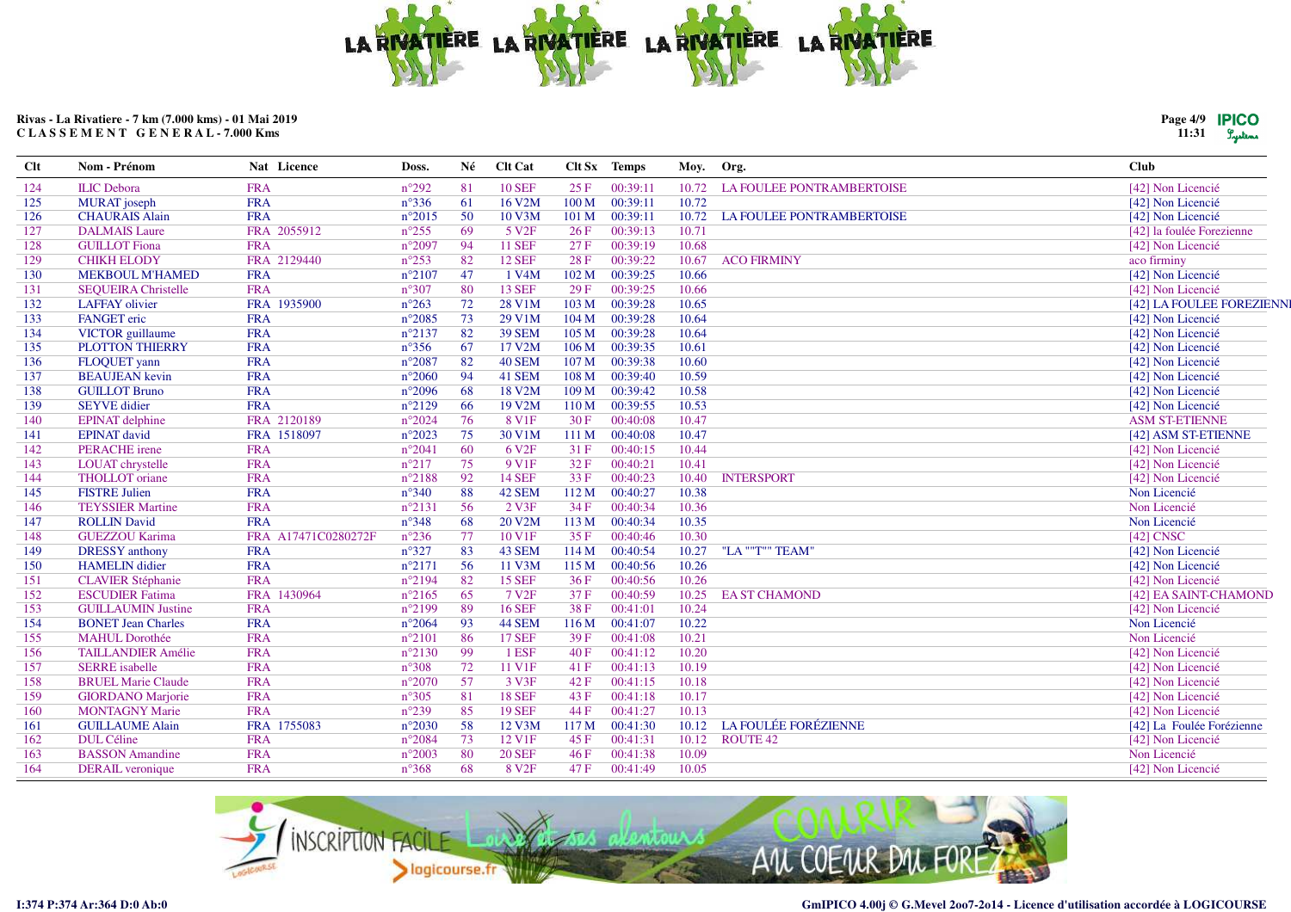

| Page 4/9 | <b>IPICO</b> |
|----------|--------------|
| 11:31    | Lystems      |

| Clt | Nom - Prénom               | Nat Licence         | Doss.           | Né | <b>Clt Cat</b>      |                  | Clt Sx Temps | Moy.  | Org.                             | <b>Club</b>               |
|-----|----------------------------|---------------------|-----------------|----|---------------------|------------------|--------------|-------|----------------------------------|---------------------------|
| 124 | <b>ILIC</b> Debora         | <b>FRA</b>          | $n^{\circ}292$  | 81 | <b>10 SEF</b>       | 25 F             | 00:39:11     | 10.72 | <b>LA FOULEE PONTRAMBERTOISE</b> | [42] Non Licencié         |
| 125 | MURAT joseph               | <b>FRA</b>          | $n^{\circ}336$  | 61 | 16 V2M              | 100 M            | 00:39:11     | 10.72 |                                  | [42] Non Licencié         |
| 126 | <b>CHAURAIS Alain</b>      | <b>FRA</b>          | $n^{\circ}2015$ | 50 | 10 V3M              | 101 M            | 00:39:11     | 10.72 | <b>LA FOULEE PONTRAMBERTOISE</b> | [42] Non Licencié         |
| 127 | <b>DALMAIS Laure</b>       | FRA 2055912         | $n^{\circ}255$  | 69 | 5 V <sub>2F</sub>   | 26F              | 00:39:13     | 10.71 |                                  | [42] la foulée Forezienne |
| 128 | <b>GUILLOT</b> Fiona       | <b>FRA</b>          | $n^{\circ}2097$ | 94 | <b>11 SEF</b>       | 27F              | 00:39:19     | 10.68 |                                  | [42] Non Licencié         |
| 129 | <b>CHIKH ELODY</b>         | FRA 2129440         | $n^{\circ}253$  | 82 | <b>12 SEF</b>       | 28 F             | 00:39:22     | 10.67 | <b>ACO FIRMINY</b>               | aco firminy               |
| 130 | <b>MEKBOUL M'HAMED</b>     | <b>FRA</b>          | $n^{\circ}2107$ | 47 | 1 V <sub>4</sub> M  | 102 <sub>M</sub> | 00:39:25     | 10.66 |                                  | [42] Non Licencié         |
| 131 | <b>SEQUEIRA Christelle</b> | <b>FRA</b>          | $n^{\circ}307$  | 80 | <b>13 SEF</b>       | 29F              | 00:39:25     | 10.66 |                                  | [42] Non Licencié         |
| 132 | <b>LAFFAY</b> olivier      | FRA 1935900         | $n^{\circ}263$  | 72 | 28 V1M              | 103 M            | 00:39:28     | 10.65 |                                  | [42] LA FOULEE FOREZIENN  |
| 133 | <b>FANGET</b> eric         | <b>FRA</b>          | $n^{\circ}2085$ | 73 | 29 V1M              | 104 M            | 00:39:28     | 10.64 |                                  | [42] Non Licencié         |
| 134 | <b>VICTOR</b> guillaume    | <b>FRA</b>          | $n^{\circ}2137$ | 82 | <b>39 SEM</b>       | 105 M            | 00:39:28     | 10.64 |                                  | [42] Non Licencié         |
| 135 | <b>PLOTTON THIERRY</b>     | <b>FRA</b>          | $n^{\circ}356$  | 67 | 17 V2M              | 106 M            | 00:39:35     | 10.61 |                                  | [42] Non Licencié         |
| 136 | FLOQUET yann               | <b>FRA</b>          | $n^{\circ}2087$ | 82 | <b>40 SEM</b>       | 107 M            | 00:39:38     | 10.60 |                                  | [42] Non Licencié         |
| 137 | <b>BEAUJEAN</b> kevin      | <b>FRA</b>          | $n^{\circ}2060$ | 94 | 41 SEM              | 108 M            | 00:39:40     | 10.59 |                                  | [42] Non Licencié         |
| 138 | <b>GUILLOT Bruno</b>       | <b>FRA</b>          | $n^{\circ}2096$ | 68 | 18 V2M              | 109 M            | 00:39:42     | 10.58 |                                  | [42] Non Licencié         |
| 139 | <b>SEYVE</b> didier        | <b>FRA</b>          | $n^{\circ}2129$ | 66 | 19 V <sub>2</sub> M | 110 M            | 00:39:55     | 10.53 |                                  | [42] Non Licencié         |
| 140 | <b>EPINAT</b> delphine     | FRA 2120189         | $n^{\circ}2024$ | 76 | 8 V <sub>1F</sub>   | 30 F             | 00:40:08     | 10.47 |                                  | <b>ASM ST-ETIENNE</b>     |
| 141 | <b>EPINAT</b> david        | FRA 1518097         | $n^{\circ}2023$ | 75 | 30 V1M              | 111 M            | 00:40:08     | 10.47 |                                  | [42] ASM ST-ETIENNE       |
| 142 | <b>PERACHE</b> irene       | <b>FRA</b>          | $n^{\circ}2041$ | 60 | 6 V <sub>2F</sub>   | 31 F             | 00:40:15     | 10.44 |                                  | [42] Non Licencié         |
| 143 | LOUAT chrystelle           | <b>FRA</b>          | $n^{\circ}217$  | 75 | 9 V <sub>1F</sub>   | 32 F             | 00:40:21     | 10.41 |                                  | [42] Non Licencié         |
| 144 | THOLLOT oriane             | <b>FRA</b>          | $n^{\circ}2188$ | 92 | <b>14 SEF</b>       | 33 F             | 00:40:23     | 10.40 | <b>INTERSPORT</b>                | [42] Non Licencié         |
| 145 | <b>FISTRE Julien</b>       | <b>FRA</b>          | $n^{\circ}340$  | 88 | 42 SEM              | 112 M            | 00:40:27     | 10.38 |                                  | Non Licencié              |
| 146 | <b>TEYSSIER Martine</b>    | <b>FRA</b>          | $n^{\circ}2131$ | 56 | $2$ V3F             | 34 F             | 00:40:34     | 10.36 |                                  | Non Licencié              |
| 147 | <b>ROLLIN David</b>        | <b>FRA</b>          | $n^{\circ}348$  | 68 | 20 V <sub>2</sub> M | 113 M            | 00:40:34     | 10.35 |                                  | Non Licencié              |
| 148 | <b>GUEZZOU Karima</b>      | FRA A17471C0280272F | $n^{\circ}236$  | 77 | 10 V1F              | 35 F             | 00:40:46     | 10.30 |                                  | [42] CNSC                 |
| 149 | <b>DRESSY</b> anthony      | <b>FRA</b>          | $n^{\circ}327$  | 83 | 43 SEM              | 114M             | 00:40:54     | 10.27 | "LA ""T"" TEAM'                  | [42] Non Licencié         |
| 150 | <b>HAMELIN</b> didier      | <b>FRA</b>          | $n^{\circ}2171$ | 56 | 11 V3M              | 115 M            | 00:40:56     | 10.26 |                                  | [42] Non Licencié         |
| 151 | <b>CLAVIER Stéphanie</b>   | <b>FRA</b>          | $n^{\circ}2194$ | 82 | <b>15 SEF</b>       | 36F              | 00:40:56     | 10.26 |                                  | [42] Non Licencié         |
| 152 | <b>ESCUDIER Fatima</b>     | FRA 1430964         | $n^{\circ}2165$ | 65 | 7V2F                | 37F              | 00:40:59     | 10.25 | <b>EA ST CHAMOND</b>             | [42] EA SAINT-CHAMOND     |
| 153 | <b>GUILLAUMIN Justine</b>  | <b>FRA</b>          | $n^{\circ}2199$ | 89 | <b>16 SEF</b>       | 38F              | 00:41:01     | 10.24 |                                  | [42] Non Licencié         |
| 154 | <b>BONET Jean Charles</b>  | <b>FRA</b>          | $n^{\circ}2064$ | 93 | 44 SEM              | 116M             | 00:41:07     | 10.22 |                                  | Non Licencié              |
| 155 | <b>MAHUL Dorothée</b>      | <b>FRA</b>          | $n^{\circ}2101$ | 86 | <b>17 SEF</b>       | 39F              | 00:41:08     | 10.21 |                                  | Non Licencié              |
| 156 | <b>TAILLANDIER Amélie</b>  | <b>FRA</b>          | $n^{\circ}2130$ | 99 | 1 ESF               | 40 F             | 00:41:12     | 10.20 |                                  | [42] Non Licencié         |
| 157 | <b>SERRE</b> isabelle      | <b>FRA</b>          | $n^{\circ}308$  | 72 | 11 V1F              | 41 F             | 00:41:13     | 10.19 |                                  | [42] Non Licencié         |
| 158 | <b>BRUEL Marie Claude</b>  | <b>FRA</b>          | $n^{\circ}2070$ | 57 | 3 V3F               | 42 F             | 00:41:15     | 10.18 |                                  | [42] Non Licencié         |
| 159 | <b>GIORDANO</b> Marjorie   | <b>FRA</b>          | $n^{\circ}305$  | 81 | <b>18 SEF</b>       | 43 F             | 00:41:18     | 10.17 |                                  | [42] Non Licencié         |
| 160 | <b>MONTAGNY Marie</b>      | <b>FRA</b>          | $n^{\circ}239$  | 85 | <b>19 SEF</b>       | 44 F             | 00:41:27     | 10.13 |                                  | [42] Non Licencié         |
| 161 | <b>GUILLAUME Alain</b>     | FRA 1755083         | $n^{\circ}2030$ | 58 | 12 V3M              | 117 M            | 00:41:30     | 10.12 | <b>LA FOULÉE FORÉZIENNE</b>      | [42] La Foulée Forézienne |
| 162 | DUL Céline                 | <b>FRA</b>          | $n^{\circ}2084$ | 73 | 12 V1F              | 45 F             | 00:41:31     | 10.12 | <b>ROUTE 42</b>                  | [42] Non Licencié         |
| 163 | <b>BASSON</b> Amandine     | <b>FRA</b>          | $n^{\circ}2003$ | 80 | <b>20 SEF</b>       | 46F              | 00:41:38     | 10.09 |                                  | Non Licencié              |
| 164 | <b>DERAIL</b> veronique    | <b>FRA</b>          | $n^{\circ}368$  | 68 | 8 V <sub>2F</sub>   | 47 F             | 00:41:49     | 10.05 |                                  | [42] Non Licencié         |

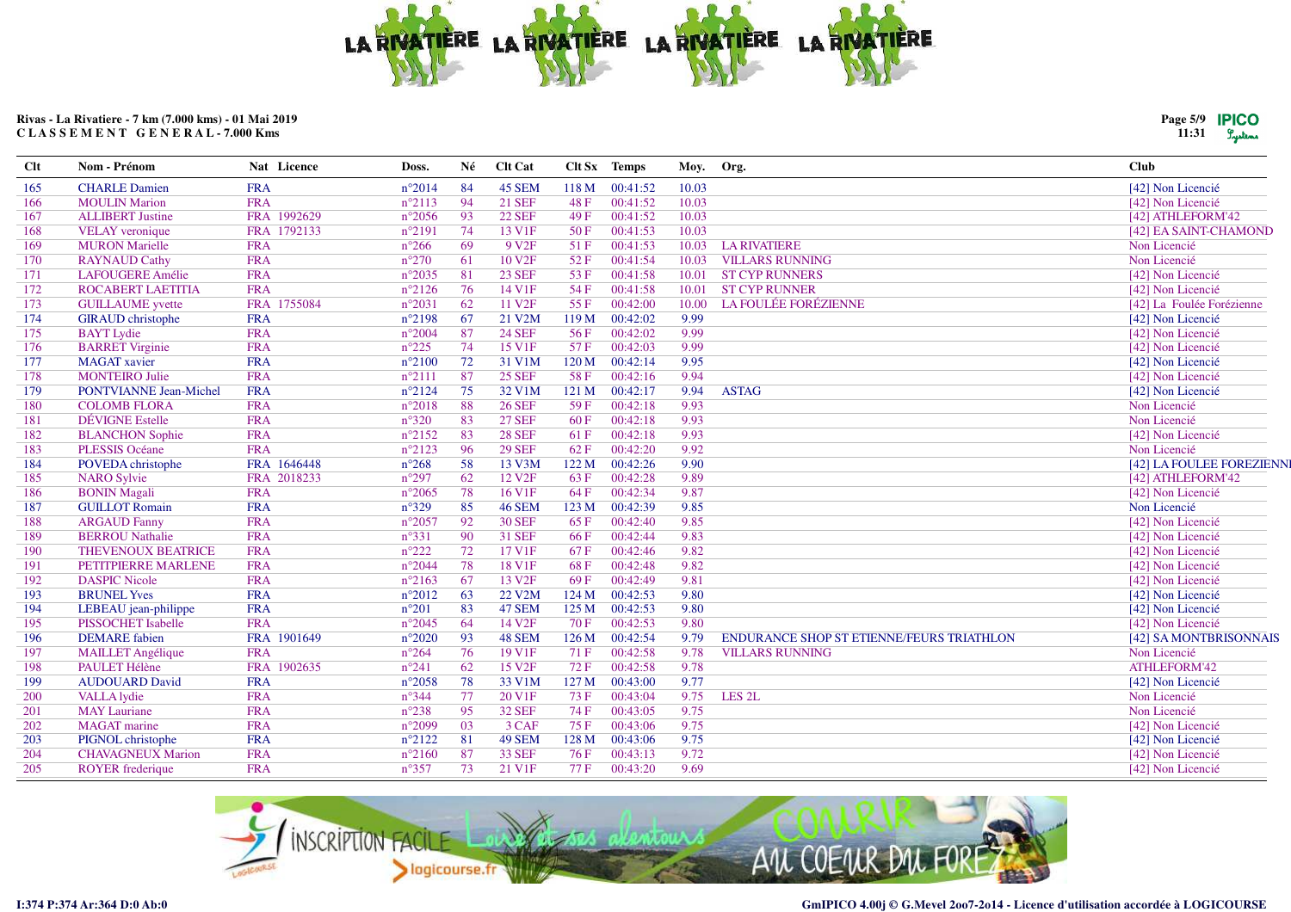

| Page 5/9 | <b>IPICO</b> |
|----------|--------------|
| 11:31    | Tresterns    |

| $Cl$ t | Nom - Prénom                  | Nat Licence | Doss.           | Né  | <b>Clt Cat</b>      |       | Clt Sx Temps | Moy. Org. |                                           | Club                      |
|--------|-------------------------------|-------------|-----------------|-----|---------------------|-------|--------------|-----------|-------------------------------------------|---------------------------|
| 165    | <b>CHARLE Damien</b>          | <b>FRA</b>  | $n^{\circ}2014$ | -84 | 45 SEM              | 118M  | 00:41:52     | 10.03     |                                           | [42] Non Licencié         |
| 166    | <b>MOULIN Marion</b>          | <b>FRA</b>  | $n^{\circ}2113$ | 94  | <b>21 SEF</b>       | 48 F  | 00:41:52     | 10.03     |                                           | [42] Non Licencié         |
| 167    | <b>ALLIBERT Justine</b>       | FRA 1992629 | $n^{\circ}2056$ | 93  | <b>22 SEF</b>       | 49F   | 00:41:52     | 10.03     |                                           | [42] ATHLEFORM'42         |
| 168    | <b>VELAY</b> veronique        | FRA 1792133 | $n^{\circ}2191$ | 74  | 13 V1F              | 50F   | 00:41:53     | 10.03     |                                           | [42] EA SAINT-CHAMOND     |
| 169    | <b>MURON</b> Marielle         | <b>FRA</b>  | $n^{\circ}266$  | 69  | 9 V <sub>2F</sub>   | 51F   | 00:41:53     | 10.03     | <b>LA RIVATIERE</b>                       | Non Licencié              |
| 170    | <b>RAYNAUD Cathy</b>          | <b>FRA</b>  | $n^{\circ}270$  | 61  | 10 V <sub>2F</sub>  | 52F   | 00:41:54     | 10.03     | <b>VILLARS RUNNING</b>                    | Non Licencié              |
| 171    | <b>LAFOUGERE Amélie</b>       | <b>FRA</b>  | $n^{\circ}2035$ | 81  | <b>23 SEF</b>       | 53 F  | 00:41:58     | 10.01     | <b>ST CYP RUNNERS</b>                     | [42] Non Licencié         |
| 172    | <b>ROCABERT LAETITIA</b>      | <b>FRA</b>  | $n^{\circ}2126$ | 76  | 14 V1F              | 54 F  | 00:41:58     | 10.01     | <b>ST CYP RUNNER</b>                      | [42] Non Licencié         |
| 173    | <b>GUILLAUME</b> yvette       | FRA 1755084 | $n^{\circ}2031$ | 62  | 11 V <sub>2F</sub>  | 55F   | 00:42:00     | 10.00     | <b>LA FOULÉE FORÉZIENNE</b>               | [42] La Foulée Forézienne |
| 174    | <b>GIRAUD</b> christophe      | <b>FRA</b>  | $n^{\circ}2198$ | 67  | 21 V2M              | 119 M | 00:42:02     | 9.99      |                                           | [42] Non Licencié         |
| 175    | <b>BAYT</b> Lydie             | <b>FRA</b>  | $n^{\circ}2004$ | 87  | <b>24 SEF</b>       | 56 F  | 00:42:02     | 9.99      |                                           | [42] Non Licencié         |
| 176    | <b>BARRET</b> Virginie        | <b>FRA</b>  | $n^{\circ}225$  | 74  | 15 V1F              | 57F   | 00:42:03     | 9.99      |                                           | [42] Non Licencié         |
| 177    | <b>MAGAT</b> xavier           | <b>FRA</b>  | $n^{\circ}2100$ | 72  | 31 V1M              | 120 M | 00:42:14     | 9.95      |                                           | [42] Non Licencié         |
| 178    | <b>MONTEIRO Julie</b>         | <b>FRA</b>  | $n^{\circ}2111$ | 87  | <b>25 SEF</b>       | 58 F  | 00:42:16     | 9.94      |                                           | [42] Non Licencié         |
| 179    | <b>PONTVIANNE Jean-Michel</b> | <b>FRA</b>  | $n^{\circ}2124$ | 75  | 32 V1M              | 121 M | 00:42:17     | 9.94      | <b>ASTAG</b>                              | [42] Non Licencié         |
| 180    | <b>COLOMB FLORA</b>           | <b>FRA</b>  | $n^{\circ}2018$ | 88  | <b>26 SEF</b>       | 59F   | 00:42:18     | 9.93      |                                           | Non Licencié              |
| 181    | <b>DÉVIGNE</b> Estelle        | <b>FRA</b>  | $n^{\circ}320$  | 83  | <b>27 SEF</b>       | 60F   | 00:42:18     | 9.93      |                                           | Non Licencié              |
| 182    | <b>BLANCHON Sophie</b>        | <b>FRA</b>  | $n^{\circ}2152$ | 83  | <b>28 SEF</b>       | 61F   | 00:42:18     | 9.93      |                                           | [42] Non Licencié         |
| 183    | PLESSIS Océane                | <b>FRA</b>  | $n^{\circ}2123$ | 96  | <b>29 SEF</b>       | 62 F  | 00:42:20     | 9.92      |                                           | Non Licencié              |
| 184    | POVEDA christophe             | FRA 1646448 | $n^{\circ}268$  | 58  | 13 V3M              | 122 M | 00:42:26     | 9.90      |                                           | [42] LA FOULEE FOREZIENN  |
| 185    | <b>NARO Sylvie</b>            | FRA 2018233 | $n^{\circ}297$  | 62  | 12 V <sub>2F</sub>  | 63 F  | 00:42:28     | 9.89      |                                           | [42] ATHLEFORM'42         |
| 186    | <b>BONIN Magali</b>           | <b>FRA</b>  | $n^{\circ}2065$ | 78  | 16 V1F              | 64 F  | 00:42:34     | 9.87      |                                           | [42] Non Licencié         |
| 187    | <b>GUILLOT Romain</b>         | <b>FRA</b>  | $n^{\circ}329$  | 85  | <b>46 SEM</b>       | 123 M | 00:42:39     | 9.85      |                                           | Non Licencié              |
| 188    | <b>ARGAUD Fanny</b>           | <b>FRA</b>  | $n^{\circ}2057$ | 92  | <b>30 SEF</b>       | 65F   | 00:42:40     | 9.85      |                                           | [42] Non Licencié         |
| 189    | <b>BERROU Nathalie</b>        | <b>FRA</b>  | $n^{\circ}331$  | -90 | <b>31 SEF</b>       | 66 F  | 00:42:44     | 9.83      |                                           | [42] Non Licencié         |
| 190    | <b>THEVENOUX BEATRICE</b>     | <b>FRA</b>  | $n^{\circ}222$  | 72  | 17 V1F              | 67F   | 00:42:46     | 9.82      |                                           | [42] Non Licencié         |
| 191    | PETITPIERRE MARLENE           | <b>FRA</b>  | $n^{\circ}2044$ | 78  | 18 V1F              | 68F   | 00:42:48     | 9.82      |                                           | [42] Non Licencié         |
| 192    | <b>DASPIC Nicole</b>          | <b>FRA</b>  | $n^{\circ}2163$ | 67  | 13 V <sub>2F</sub>  | 69F   | 00:42:49     | 9.81      |                                           | [42] Non Licencié         |
| 193    | <b>BRUNEL Yves</b>            | <b>FRA</b>  | $n^{\circ}2012$ | 63  | 22 V <sub>2</sub> M | 124 M | 00:42:53     | 9.80      |                                           | [42] Non Licencié         |
| 194    | LEBEAU jean-philippe          | <b>FRA</b>  | $n^{\circ}201$  | 83  | 47 SEM              | 125 M | 00:42:53     | 9.80      |                                           | [42] Non Licencié         |
| 195    | PISSOCHET Isabelle            | <b>FRA</b>  | $n^{\circ}2045$ | 64  | 14 V <sub>2F</sub>  | 70 F  | 00:42:53     | 9.80      |                                           | [42] Non Licencié         |
| 196    | <b>DEMARE</b> fabien          | FRA 1901649 | $n^{\circ}2020$ | 93  | 48 SEM              | 126 M | 00:42:54     | 9.79      | ENDURANCE SHOP ST ETIENNE/FEURS TRIATHLON | [42] SA MONTBRISONNAIS    |
| 197    | <b>MAILLET</b> Angélique      | <b>FRA</b>  | $n^{\circ}264$  | 76  | 19 V1F              | 71 F  | 00:42:58     | 9.78      | <b>VILLARS RUNNING</b>                    | Non Licencié              |
| 198    | <b>PAULET Hélène</b>          | FRA 1902635 | $n^{\circ}241$  | 62  | 15 V <sub>2F</sub>  | 72 F  | 00:42:58     | 9.78      |                                           | ATHLEFORM'42              |
| 199    | <b>AUDOUARD David</b>         | <b>FRA</b>  | $n^{\circ}2058$ | 78  | 33 V1M              | 127 M | 00:43:00     | 9.77      |                                           | [42] Non Licencié         |
| 200    | <b>VALLA</b> lydie            | <b>FRA</b>  | $n^{\circ}344$  | 77  | 20 V1F              | 73 F  | 00:43:04     | 9.75      | LES <sub>2L</sub>                         | Non Licencié              |
| 201    | <b>MAY Lauriane</b>           | <b>FRA</b>  | $n^{\circ}238$  | 95  | <b>32 SEF</b>       | 74 F  | 00:43:05     | 9.75      |                                           | Non Licencié              |
| 202    | <b>MAGAT</b> marine           | <b>FRA</b>  | $n^{\circ}2099$ | 03  | 3 CAF               | 75 F  | 00:43:06     | 9.75      |                                           | [42] Non Licencié         |
| 203    | PIGNOL christophe             | <b>FRA</b>  | $n^{\circ}2122$ | 81  | 49 SEM              | 128 M | 00:43:06     | 9.75      |                                           | [42] Non Licencié         |
| 204    | <b>CHAVAGNEUX Marion</b>      | <b>FRA</b>  | $n^{\circ}2160$ | 87  | <b>33 SEF</b>       | 76 F  | 00:43:13     | 9.72      |                                           | [42] Non Licencié         |
| 205    | <b>ROYER</b> frederique       | <b>FRA</b>  | $n^{\circ}357$  | 73  | 21 V1F              | 77 F  | 00:43:20     | 9.69      |                                           | [42] Non Licencié         |

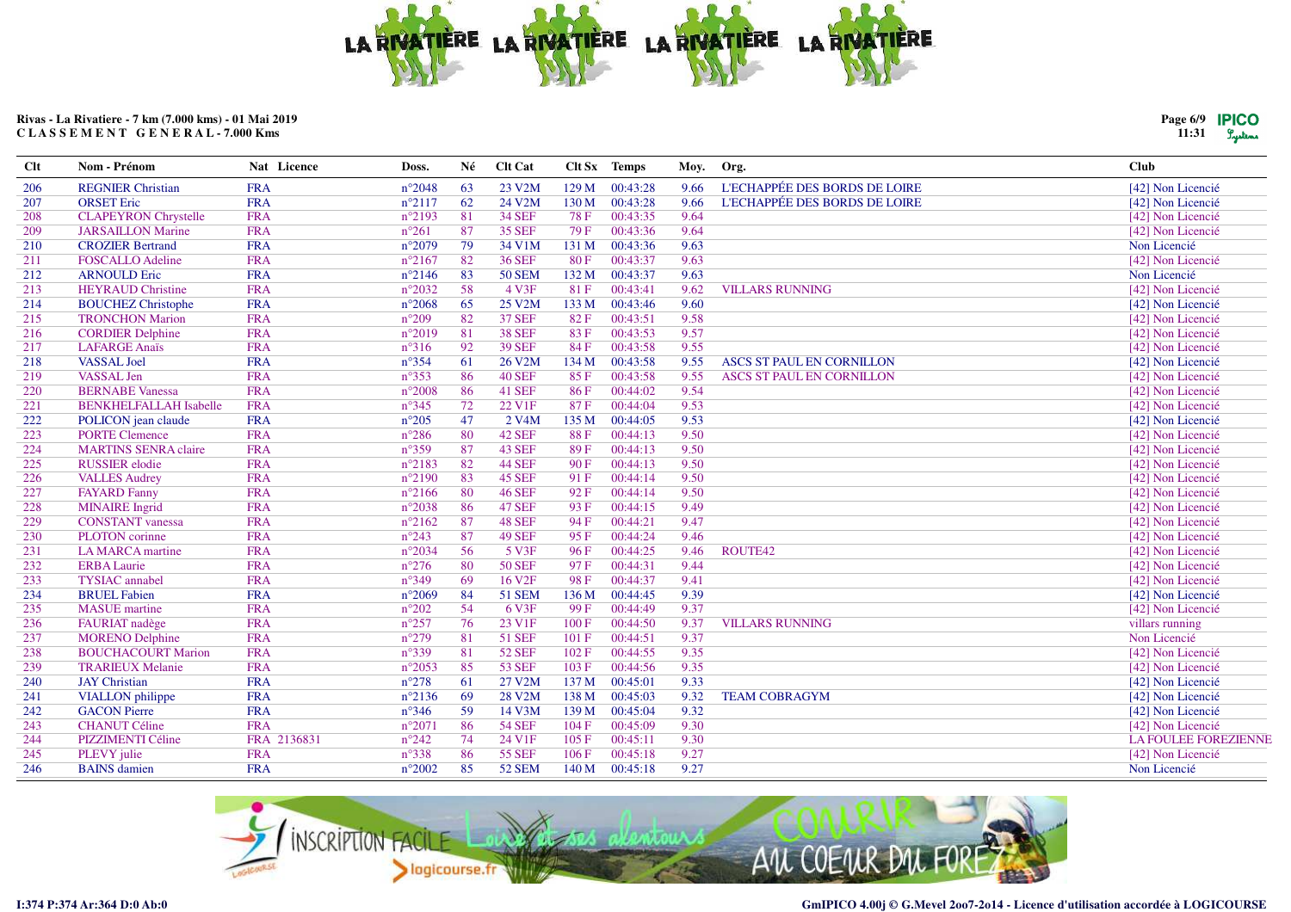

| Page 6/9 | <b>IPICO</b> |
|----------|--------------|
| 11:31    | Lustens      |

| $Cl$ t | Nom - Prénom                  | Nat Licence | Doss.           | Né | <b>Clt Cat</b>      |             | Clt Sx Temps | Moy. | Org.                             | <b>Club</b>                 |
|--------|-------------------------------|-------------|-----------------|----|---------------------|-------------|--------------|------|----------------------------------|-----------------------------|
| 206    | <b>REGNIER Christian</b>      | <b>FRA</b>  | $n^{\circ}2048$ | 63 | 23 V2M              | 129M        | 00:43:28     | 9.66 | L'ECHAPPÉE DES BORDS DE LOIRE    | [42] Non Licencié           |
| 207    | <b>ORSET</b> Eric             | <b>FRA</b>  | $n^{\circ}2117$ | 62 | 24 V2M              | 130 M       | 00:43:28     | 9.66 | L'ECHAPPÉE DES BORDS DE LOIRE    | [42] Non Licencié           |
| 208    | <b>CLAPEYRON Chrystelle</b>   | <b>FRA</b>  | $n^{\circ}2193$ | 81 | 34 SEF              | <b>78 F</b> | 00:43:35     | 9.64 |                                  | [42] Non Licencié           |
| 209    | <b>JARSAILLON Marine</b>      | <b>FRA</b>  | $n^{\circ}261$  | 87 | <b>35 SEF</b>       | 79 F        | 00:43:36     | 9.64 |                                  | [42] Non Licencié           |
| 210    | <b>CROZIER Bertrand</b>       | <b>FRA</b>  | $n^{\circ}2079$ | 79 | 34 V1M              | 131 M       | 00:43:36     | 9.63 |                                  | Non Licencié                |
| 211    | <b>FOSCALLO Adeline</b>       | <b>FRA</b>  | $n^{\circ}2167$ | 82 | <b>36 SEF</b>       | 80F         | 00:43:37     | 9.63 |                                  | [42] Non Licencié           |
| 212    | <b>ARNOULD Eric</b>           | <b>FRA</b>  | $n^{\circ}2146$ | 83 | <b>50 SEM</b>       | 132 M       | 00:43:37     | 9.63 |                                  | Non Licencié                |
| 213    | <b>HEYRAUD Christine</b>      | <b>FRA</b>  | $n^{\circ}2032$ | 58 | 4 V3F               | 81F         | 00:43:41     | 9.62 | <b>VILLARS RUNNING</b>           | [42] Non Licencié           |
| 214    | <b>BOUCHEZ Christophe</b>     | <b>FRA</b>  | $n^{\circ}2068$ | 65 | 25 V2M              | 133 M       | 00:43:46     | 9.60 |                                  | [42] Non Licencié           |
| 215    | <b>TRONCHON Marion</b>        | <b>FRA</b>  | $n^{\circ}209$  | 82 | <b>37 SEF</b>       | 82F         | 00:43:51     | 9.58 |                                  | [42] Non Licencié           |
| 216    | <b>CORDIER Delphine</b>       | <b>FRA</b>  | $n^{\circ}2019$ | 81 | <b>38 SEF</b>       | 83F         | 00:43:53     | 9.57 |                                  | [42] Non Licencié           |
| 217    | <b>LAFARGE Anaïs</b>          | <b>FRA</b>  | $n^{\circ}316$  | 92 | <b>39 SEF</b>       | 84 F        | 00:43:58     | 9.55 |                                  | [42] Non Licencié           |
| 218    | <b>VASSAL Joel</b>            | <b>FRA</b>  | $n^{\circ}354$  | 61 | 26 V2M              | 134 M       | 00:43:58     | 9.55 | ASCS ST PAUL EN CORNILLON        | [42] Non Licencié           |
| 219    | VASSAL Jen                    | <b>FRA</b>  | $n^{\circ}353$  | 86 | <b>40 SEF</b>       | 85F         | 00:43:58     | 9.55 | <b>ASCS ST PAUL EN CORNILLON</b> | [42] Non Licencié           |
| 220    | <b>BERNABE</b> Vanessa        | <b>FRA</b>  | $n^{\circ}2008$ | 86 | <b>41 SEF</b>       | 86F         | 00:44:02     | 9.54 |                                  | [42] Non Licencié           |
| 221    | <b>BENKHELFALLAH Isabelle</b> | <b>FRA</b>  | $n^{\circ}345$  | 72 | 22 V1F              | 87 F        | 00:44:04     | 9.53 |                                  | [42] Non Licencié           |
| 222    | POLICON jean claude           | <b>FRA</b>  | $n^{\circ}205$  | 47 | 2 V <sub>4</sub> M  | 135 M       | 00:44:05     | 9.53 |                                  | [42] Non Licencié           |
| 223    | <b>PORTE Clemence</b>         | <b>FRA</b>  | $n^{\circ}286$  | 80 | <b>42 SEF</b>       | 88F         | 00:44:13     | 9.50 |                                  | [42] Non Licencié           |
| 224    | <b>MARTINS SENRA claire</b>   | <b>FRA</b>  | $n^{\circ}359$  | 87 | <b>43 SEF</b>       | 89F         | 00:44:13     | 9.50 |                                  | [42] Non Licencié           |
| 225    | <b>RUSSIER</b> elodie         | <b>FRA</b>  | $n^{\circ}2183$ | 82 | <b>44 SEF</b>       | 90F         | 00:44:13     | 9.50 |                                  | [42] Non Licencié           |
| 226    | <b>VALLES Audrey</b>          | <b>FRA</b>  | $n^{\circ}2190$ | 83 | <b>45 SEF</b>       | 91F         | 00:44:14     | 9.50 |                                  | [42] Non Licencié           |
| 227    | <b>FAYARD Fanny</b>           | <b>FRA</b>  | $n^{\circ}2166$ | 80 | <b>46 SEF</b>       | 92F         | 00:44:14     | 9.50 |                                  | [42] Non Licencié           |
| 228    | <b>MINAIRE</b> Ingrid         | <b>FRA</b>  | $n^{\circ}2038$ | 86 | <b>47 SEF</b>       | 93 F        | 00:44:15     | 9.49 |                                  | [42] Non Licencié           |
| 229    | <b>CONSTANT</b> vanessa       | <b>FRA</b>  | $n^{\circ}2162$ | 87 | <b>48 SEF</b>       | 94 F        | 00:44:21     | 9.47 |                                  | [42] Non Licencié           |
| 230    | PLOTON corinne                | <b>FRA</b>  | $n^{\circ}243$  | 87 | <b>49 SEF</b>       | 95F         | 00:44:24     | 9.46 |                                  | [42] Non Licencié           |
| 231    | LA MARCA martine              | <b>FRA</b>  | $n^{\circ}2034$ | 56 | 5 <sub>V3F</sub>    | 96F         | 00:44:25     | 9.46 | ROUTE42                          | [42] Non Licencié           |
| 232    | <b>ERBA Laurie</b>            | <b>FRA</b>  | $n^{\circ}276$  | 80 | <b>50 SEF</b>       | 97F         | 00:44:31     | 9.44 |                                  | [42] Non Licencié           |
| 233    | <b>TYSIAC</b> annabel         | <b>FRA</b>  | $n^{\circ}349$  | 69 | 16 V <sub>2F</sub>  | 98F         | 00:44:37     | 9.41 |                                  | [42] Non Licencié           |
| 234    | <b>BRUEL Fabien</b>           | <b>FRA</b>  | $n^{\circ}2069$ | 84 | 51 SEM              | 136 M       | 00:44:45     | 9.39 |                                  | [42] Non Licencié           |
| 235    | <b>MASUE</b> martine          | <b>FRA</b>  | $n^{\circ}202$  | 54 | 6 V3F               | 99 F        | 00:44:49     | 9.37 |                                  | [42] Non Licencié           |
| 236    | FAURIAT nadège                | <b>FRA</b>  | $n^{\circ}257$  | 76 | 23 V1F              | 100F        | 00:44:50     | 9.37 | <b>VILLARS RUNNING</b>           | villars running             |
| 237    | <b>MORENO Delphine</b>        | <b>FRA</b>  | $n^{\circ}279$  | 81 | 51 SEF              | 101 F       | 00:44:51     | 9.37 |                                  | Non Licencié                |
| 238    | <b>BOUCHACOURT Marion</b>     | <b>FRA</b>  | $n^{\circ}339$  | 81 | <b>52 SEF</b>       | 102F        | 00:44:55     | 9.35 |                                  | [42] Non Licencié           |
| 239    | <b>TRARIEUX Melanie</b>       | <b>FRA</b>  | $n^{\circ}2053$ | 85 | 53 SEF              | 103 F       | 00:44:56     | 9.35 |                                  | [42] Non Licencié           |
| 240    | <b>JAY</b> Christian          | <b>FRA</b>  | $n^{\circ}278$  | 61 | 27 V2M              | 137 M       | 00:45:01     | 9.33 |                                  | [42] Non Licencié           |
| 241    | <b>VIALLON</b> philippe       | <b>FRA</b>  | $n^{\circ}2136$ | 69 | 28 V <sub>2</sub> M | 138 M       | 00:45:03     | 9.32 | <b>TEAM COBRAGYM</b>             | [42] Non Licencié           |
| 242    | <b>GACON Pierre</b>           | <b>FRA</b>  | $n^{\circ}346$  | 59 | 14 V3M              | 139 M       | 00:45:04     | 9.32 |                                  | [42] Non Licencié           |
| 243    | <b>CHANUT Céline</b>          | <b>FRA</b>  | $n^{\circ}2071$ | 86 | <b>54 SEF</b>       | 104F        | 00:45:09     | 9.30 |                                  | [42] Non Licencié           |
| 244    | PIZZIMENTI Céline             | FRA 2136831 | $n^{\circ}242$  | 74 | 24 V1F              | 105F        | 00:45:11     | 9.30 |                                  | <b>LA FOULEE FOREZIENNE</b> |
| 245    | PLEVY julie                   | <b>FRA</b>  | $n^{\circ}338$  | 86 | 55 SEF              | 106F        | 00:45:18     | 9.27 |                                  | [42] Non Licencié           |
| 246    | <b>BAINS</b> damien           | <b>FRA</b>  | $n^{\circ}2002$ | 85 | 52 SEM              | 140 M       | 00:45:18     | 9.27 |                                  | Non Licencié                |

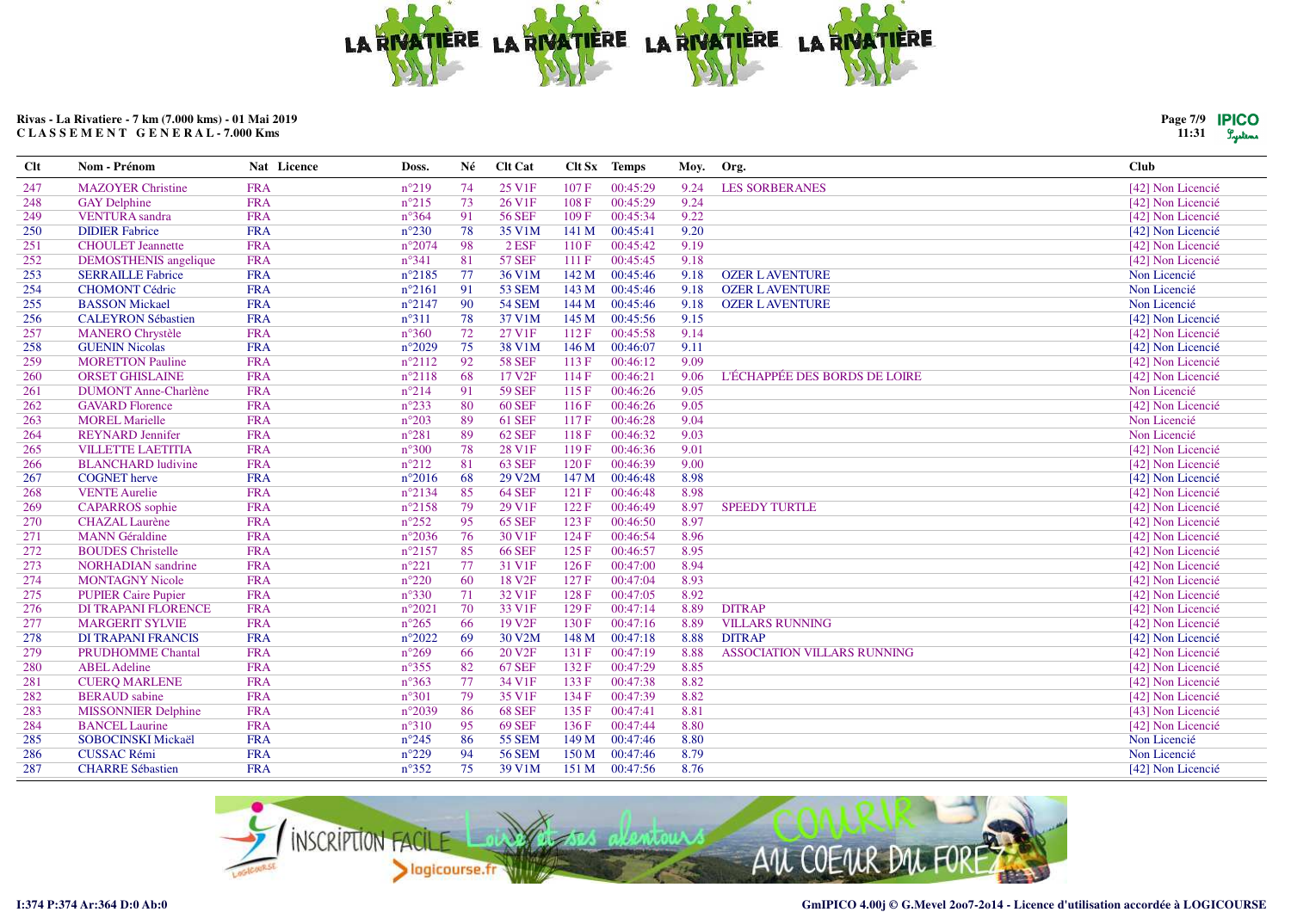

| Page 7/9 | <b>IPICO</b> |
|----------|--------------|
| 11:31    | Lusters      |

| <b>Clt</b> | Nom - Prénom                 | Nat Licence | Doss.           | Né | Clt Cat             |       | Clt Sx Temps | Moy. | Org.                               | <b>Club</b>       |
|------------|------------------------------|-------------|-----------------|----|---------------------|-------|--------------|------|------------------------------------|-------------------|
| 247        | <b>MAZOYER Christine</b>     | <b>FRA</b>  | $n^{\circ}219$  | 74 | 25 V <sub>1F</sub>  | 107F  | 00:45:29     | 9.24 | <b>LES SORBERANES</b>              | [42] Non Licencié |
| 248        | <b>GAY Delphine</b>          | <b>FRA</b>  | $n^{\circ}215$  | 73 | 26 V <sub>1F</sub>  | 108F  | 00:45:29     | 9.24 |                                    | [42] Non Licencié |
| 249        | <b>VENTURA</b> sandra        | <b>FRA</b>  | $n^{\circ}364$  | 91 | <b>56 SEF</b>       | 109F  | 00:45:34     | 9.22 |                                    | [42] Non Licencié |
| 250        | <b>DIDIER Fabrice</b>        | <b>FRA</b>  | $n^{\circ}230$  | 78 | 35 V1M              | 141 M | 00:45:41     | 9.20 |                                    | [42] Non Licencié |
| 251        | <b>CHOULET</b> Jeannette     | <b>FRA</b>  | $n^{\circ}2074$ | 98 | $2$ ESF             | 110F  | 00:45:42     | 9.19 |                                    | [42] Non Licencié |
| 252        | <b>DEMOSTHENIS</b> angelique | <b>FRA</b>  | $n^{\circ}341$  | 81 | <b>57 SEF</b>       | 111 F | 00:45:45     | 9.18 |                                    | [42] Non Licencié |
| 253        | <b>SERRAILLE Fabrice</b>     | <b>FRA</b>  | $n^{\circ}2185$ | 77 | 36 V1M              | 142 M | 00:45:46     | 9.18 | <b>OZER LAVENTURE</b>              | Non Licencié      |
| 254        | <b>CHOMONT Cédric</b>        | <b>FRA</b>  | $n^{\circ}2161$ | 91 | <b>53 SEM</b>       | 143 M | 00:45:46     | 9.18 | <b>OZER L AVENTURE</b>             | Non Licencié      |
| 255        | <b>BASSON Mickael</b>        | <b>FRA</b>  | $n^{\circ}2147$ | 90 | <b>54 SEM</b>       | 144 M | 00:45:46     | 9.18 | <b>OZER LAVENTURE</b>              | Non Licencié      |
| 256        | <b>CALEYRON Sébastien</b>    | <b>FRA</b>  | $n^{\circ}311$  | 78 | 37 V1M              | 145 M | 00:45:56     | 9.15 |                                    | [42] Non Licencié |
| 257        | <b>MANERO Chrystèle</b>      | <b>FRA</b>  | $n^{\circ}360$  | 72 | 27 V1F              | 112F  | 00:45:58     | 9.14 |                                    | [42] Non Licencié |
| 258        | <b>GUENIN Nicolas</b>        | <b>FRA</b>  | $n^{\circ}2029$ | 75 | 38 V1M              | 146 M | 00:46:07     | 9.11 |                                    | [42] Non Licencié |
| 259        | <b>MORETTON Pauline</b>      | <b>FRA</b>  | $n^{\circ}2112$ | 92 | <b>58 SEF</b>       | 113F  | 00:46:12     | 9.09 |                                    | [42] Non Licencié |
| 260        | <b>ORSET GHISLAINE</b>       | <b>FRA</b>  | $n^{\circ}2118$ | 68 | 17 V <sub>2F</sub>  | 114 F | 00:46:21     | 9.06 | L'ÉCHAPPÉE DES BORDS DE LOIRE      | [42] Non Licencié |
| 261        | <b>DUMONT Anne-Charlène</b>  | <b>FRA</b>  | $n^{\circ}214$  | 91 | <b>59 SEF</b>       | 115F  | 00:46:26     | 9.05 |                                    | Non Licencié      |
| 262        | <b>GAVARD Florence</b>       | <b>FRA</b>  | $n^{\circ}233$  | 80 | <b>60 SEF</b>       | 116F  | 00:46:26     | 9.05 |                                    | [42] Non Licencié |
| 263        | <b>MOREL Marielle</b>        | <b>FRA</b>  | $n^{\circ}203$  | 89 | <b>61 SEF</b>       | 117F  | 00:46:28     | 9.04 |                                    | Non Licencié      |
| 264        | <b>REYNARD</b> Jennifer      | <b>FRA</b>  | $n^{\circ}281$  | 89 | <b>62 SEF</b>       | 118F  | 00:46:32     | 9.03 |                                    | Non Licencié      |
| 265        | <b>VILLETTE LAETITIA</b>     | <b>FRA</b>  | $n^{\circ}300$  | 78 | 28 V1F              | 119F  | 00:46:36     | 9.01 |                                    | [42] Non Licencié |
| 266        | <b>BLANCHARD</b> ludivine    | <b>FRA</b>  | $n^{\circ}212$  | 81 | <b>63 SEF</b>       | 120F  | 00:46:39     | 9.00 |                                    | [42] Non Licencié |
| 267        | <b>COGNET</b> herve          | <b>FRA</b>  | $n^{\circ}2016$ | 68 | 29 V <sub>2</sub> M | 147 M | 00:46:48     | 8.98 |                                    | [42] Non Licencié |
| 268        | <b>VENTE Aurelie</b>         | <b>FRA</b>  | $n^{\circ}2134$ | 85 | <b>64 SEF</b>       | 121 F | 00:46:48     | 8.98 |                                    | [42] Non Licencié |
| 269        | <b>CAPARROS</b> sophie       | <b>FRA</b>  | $n^{\circ}2158$ | 79 | 29 V1F              | 122F  | 00:46:49     | 8.97 | <b>SPEEDY TURTLE</b>               | [42] Non Licencié |
| 270        | <b>CHAZAL Laurène</b>        | <b>FRA</b>  | $n^{\circ}252$  | 95 | <b>65 SEF</b>       | 123 F | 00:46:50     | 8.97 |                                    | [42] Non Licencié |
| 271        | <b>MANN</b> Géraldine        | <b>FRA</b>  | $n^{\circ}2036$ | 76 | 30 V1F              | 124F  | 00:46:54     | 8.96 |                                    | [42] Non Licencié |
| 272        | <b>BOUDES</b> Christelle     | <b>FRA</b>  | $n^{\circ}2157$ | 85 | <b>66 SEF</b>       | 125F  | 00:46:57     | 8.95 |                                    | [42] Non Licencié |
| 273        | <b>NORHADIAN</b> sandrine    | <b>FRA</b>  | $n^{\circ}221$  | 77 | 31 V1F              | 126F  | 00:47:00     | 8.94 |                                    | [42] Non Licencié |
| 274        | <b>MONTAGNY Nicole</b>       | <b>FRA</b>  | $n^{\circ}220$  | 60 | 18 V <sub>2F</sub>  | 127 F | 00:47:04     | 8.93 |                                    | [42] Non Licencié |
| 275        | <b>PUPIER Caire Pupier</b>   | <b>FRA</b>  | $n^{\circ}330$  | 71 | 32 V <sub>1F</sub>  | 128 F | 00:47:05     | 8.92 |                                    | [42] Non Licencié |
| 276        | <b>DI TRAPANI FLORENCE</b>   | <b>FRA</b>  | $n^{\circ}2021$ | 70 | 33 V <sub>1F</sub>  | 129 F | 00:47:14     | 8.89 | <b>DITRAP</b>                      | [42] Non Licencié |
| 277        | <b>MARGERIT SYLVIE</b>       | <b>FRA</b>  | $n^{\circ}265$  | 66 | 19 V <sub>2F</sub>  | 130 F | 00:47:16     | 8.89 | <b>VILLARS RUNNING</b>             | [42] Non Licencié |
| 278        | <b>DI TRAPANI FRANCIS</b>    | <b>FRA</b>  | $n^{\circ}2022$ | 69 | 30 V2M              | 148 M | 00:47:18     | 8.88 | <b>DITRAP</b>                      | [42] Non Licencié |
| 279        | <b>PRUDHOMME Chantal</b>     | <b>FRA</b>  | $n^{\circ}269$  | 66 | 20 V <sub>2F</sub>  | 131 F | 00:47:19     | 8.88 | <b>ASSOCIATION VILLARS RUNNING</b> | [42] Non Licencié |
| 280        | <b>ABEL</b> Adeline          | <b>FRA</b>  | $n^{\circ}355$  | 82 | <b>67 SEF</b>       | 132 F | 00:47:29     | 8.85 |                                    | [42] Non Licencié |
| 281        | <b>CUERQ MARLENE</b>         | <b>FRA</b>  | $n^{\circ}363$  | 77 | 34 V1F              | 133 F | 00:47:38     | 8.82 |                                    | [42] Non Licencié |
| 282        | <b>BERAUD</b> sabine         | <b>FRA</b>  | $n^{\circ}301$  | 79 | 35 V <sub>1F</sub>  | 134 F | 00:47:39     | 8.82 |                                    | [42] Non Licencié |
| 283        | <b>MISSONNIER Delphine</b>   | <b>FRA</b>  | $n^{\circ}2039$ | 86 | <b>68 SEF</b>       | 135 F | 00:47:41     | 8.81 |                                    | [43] Non Licencié |
| 284        | <b>BANCEL Laurine</b>        | <b>FRA</b>  | $n^{\circ}310$  | 95 | <b>69 SEF</b>       | 136F  | 00:47:44     | 8.80 |                                    | [42] Non Licencié |
| 285        | <b>SOBOCINSKI Mickaël</b>    | <b>FRA</b>  | $n^{\circ}245$  | 86 | <b>55 SEM</b>       | 149 M | 00:47:46     | 8.80 |                                    | Non Licencié      |
| 286        | <b>CUSSAC Rémi</b>           | <b>FRA</b>  | $n^{\circ}229$  | 94 | <b>56 SEM</b>       | 150 M | 00:47:46     | 8.79 |                                    | Non Licencié      |
| 287        | <b>CHARRE Sébastien</b>      | <b>FRA</b>  | $n^{\circ}352$  | 75 | 39 V1M              | 151 M | 00:47:56     | 8.76 |                                    | [42] Non Licencié |

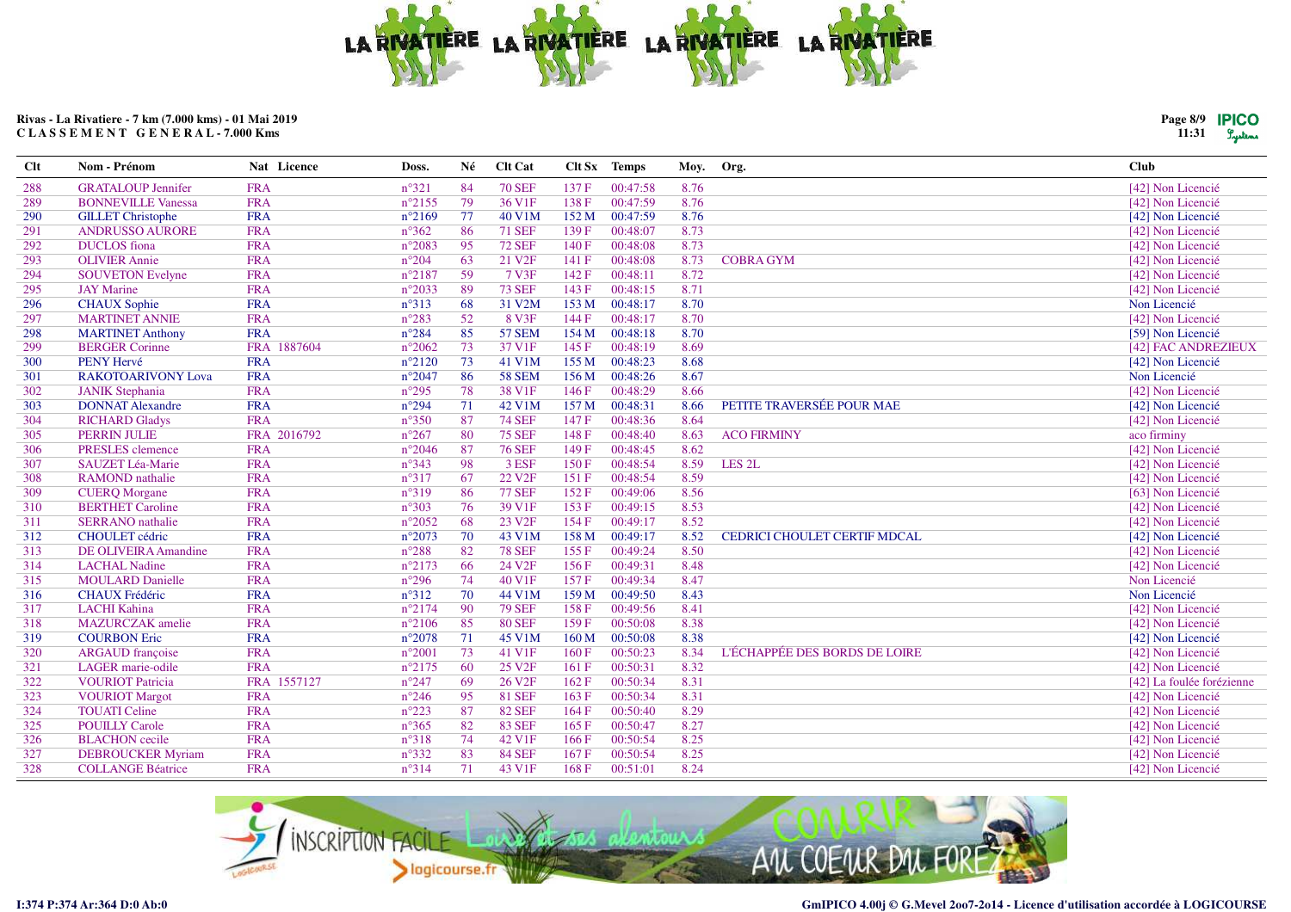

Moy. Org.

Clt Sx Temps

# Rivas - La Rivatiere - 7 km (7.000 kms) - 01 Mai 2019 CLASSEMENT GENERAL-7.000 Kms

Nat Licence

Doss.

Né

Clt Cat

Nom - Prénom

**Clt** 

| <b>GRATALOUP Jennifer</b>   | <b>FRA</b>  | $n^{\circ}321$  | 84 | <b>70 SEF</b>      | 137 F | 00:47:58 | 8.76 |                               | [42] Non Licencié         |
|-----------------------------|-------------|-----------------|----|--------------------|-------|----------|------|-------------------------------|---------------------------|
| <b>BONNEVILLE Vanessa</b>   | <b>FRA</b>  | $n^{\circ}2155$ | 79 | 36 V1F             | 138 F | 00:47:59 | 8.76 |                               | [42] Non Licencié         |
| <b>GILLET</b> Christophe    | <b>FRA</b>  | $n^{\circ}2169$ | 77 | 40 V1M             | 152 M | 00:47:59 | 8.76 |                               | [42] Non Licencié         |
| <b>ANDRUSSO AURORE</b>      | <b>FRA</b>  | $n^{\circ}362$  | 86 | <b>71 SEF</b>      | 139F  | 00:48:07 | 8.73 |                               | [42] Non Licencié         |
| <b>DUCLOS</b> fiona         | <b>FRA</b>  | $n^{\circ}2083$ | 95 | <b>72 SEF</b>      | 140 F | 00:48:08 | 8.73 |                               | [42] Non Licencié         |
| <b>OLIVIER Annie</b>        | <b>FRA</b>  | $n^{\circ}204$  | 63 | 21 V <sub>2F</sub> | 141 F | 00:48:08 | 8.73 | <b>COBRA GYM</b>              | [42] Non Licencié         |
| <b>SOUVETON Evelyne</b>     | <b>FRA</b>  | $n^{\circ}2187$ | 59 | 7 V3F              | 142 F | 00:48:11 | 8.72 |                               | [42] Non Licencié         |
| <b>JAY Marine</b>           | <b>FRA</b>  | $n^{\circ}2033$ | 89 | <b>73 SEF</b>      | 143 F | 00:48:15 | 8.71 |                               | [42] Non Licencié         |
| <b>CHAUX</b> Sophie         | <b>FRA</b>  | $n^{\circ}313$  | 68 | 31 V2M             | 153 M | 00:48:17 | 8.70 |                               | Non Licencié              |
| <b>MARTINET ANNIE</b>       | <b>FRA</b>  | $n^{\circ}283$  | 52 | 8 V3F              | 144 F | 00:48:17 | 8.70 |                               | [42] Non Licencié         |
| <b>MARTINET Anthony</b>     | <b>FRA</b>  | $n^{\circ}284$  | 85 | <b>57 SEM</b>      | 154 M | 00:48:18 | 8.70 |                               | [59] Non Licencié         |
| <b>BERGER Corinne</b>       | FRA 1887604 | $n^{\circ}2062$ | 73 | 37 V1F             | 145 F | 00:48:19 | 8.69 |                               | [42] FAC ANDREZIEUX       |
| PENY Hervé                  | <b>FRA</b>  | $n^{\circ}2120$ | 73 | 41 V1M             | 155 M | 00:48:23 | 8.68 |                               | [42] Non Licencié         |
| <b>RAKOTOARIVONY Lova</b>   | <b>FRA</b>  | $n^{\circ}2047$ | 86 | <b>58 SEM</b>      | 156 M | 00:48:26 | 8.67 |                               | Non Licencié              |
| <b>JANIK Stephania</b>      | <b>FRA</b>  | $n^{\circ}295$  | 78 | 38 V1F             | 146 F | 00:48:29 | 8.66 |                               | [42] Non Licencié         |
| <b>DONNAT Alexandre</b>     | <b>FRA</b>  | $n^{\circ}294$  | 71 | 42 V1M             | 157 M | 00:48:31 | 8.66 | PETITE TRAVERSÉE POUR MAE     | [42] Non Licencié         |
| <b>RICHARD Gladys</b>       | <b>FRA</b>  | $n^{\circ}350$  | 87 | <b>74 SEF</b>      | 147 F | 00:48:36 | 8.64 |                               | [42] Non Licencié         |
| <b>PERRIN JULIE</b>         | FRA 2016792 | $n^{\circ}267$  | 80 | <b>75 SEF</b>      | 148 F | 00:48:40 | 8.63 | <b>ACO FIRMINY</b>            | aco firminy               |
| PRESLES clemence            | <b>FRA</b>  | $n^{\circ}2046$ | 87 | <b>76 SEF</b>      | 149 F | 00:48:45 | 8.62 |                               | [42] Non Licencié         |
| SAUZET Léa-Marie            | <b>FRA</b>  | $n^{\circ}343$  | 98 | 3 ESF              | 150F  | 00:48:54 | 8.59 | LES <sub>2L</sub>             | [42] Non Licencié         |
| <b>RAMOND</b> nathalie      | <b>FRA</b>  | $n^{\circ}317$  | 67 | 22 V <sub>2F</sub> | 151F  | 00:48:54 | 8.59 |                               | [42] Non Licencié         |
| <b>CUERQ Morgane</b>        | <b>FRA</b>  | $n^{\circ}319$  | 86 | <b>77 SEF</b>      | 152F  | 00:49:06 | 8.56 |                               | [63] Non Licencié         |
| <b>BERTHET Caroline</b>     | <b>FRA</b>  | $n^{\circ}303$  | 76 | 39 V1F             | 153 F | 00:49:15 | 8.53 |                               | [42] Non Licencié         |
| <b>SERRANO</b> nathalie     | <b>FRA</b>  | $n^{\circ}2052$ | 68 | 23 V <sub>2F</sub> | 154 F | 00:49:17 | 8.52 |                               | [42] Non Licencié         |
| <b>CHOULET</b> cédric       | <b>FRA</b>  | $n^{\circ}2073$ | 70 | 43 V1M             | 158 M | 00:49:17 | 8.52 | CEDRICI CHOULET CERTIF MDCAL  | [42] Non Licencié         |
| <b>DE OLIVEIRA Amandine</b> | <b>FRA</b>  | $n^{\circ}288$  | 82 | <b>78 SEF</b>      | 155F  | 00:49:24 | 8.50 |                               | [42] Non Licencié         |
| <b>LACHAL Nadine</b>        | <b>FRA</b>  | $n^{\circ}2173$ | 66 | 24 V <sub>2F</sub> | 156F  | 00:49:31 | 8.48 |                               | [42] Non Licencié         |
| <b>MOULARD Danielle</b>     | <b>FRA</b>  | $n^{\circ}296$  | 74 | 40 V1F             | 157 F | 00:49:34 | 8.47 |                               | Non Licencié              |
| <b>CHAUX</b> Frédéric       | <b>FRA</b>  | $n^{\circ}312$  | 70 | 44 V1M             | 159 M | 00:49:50 | 8.43 |                               | Non Licencié              |
| <b>LACHI Kahina</b>         | <b>FRA</b>  | $n^{\circ}2174$ | 90 | <b>79 SEF</b>      | 158F  | 00:49:56 | 8.41 |                               | [42] Non Licencié         |
| <b>MAZURCZAK</b> amelie     | <b>FRA</b>  | $n^{\circ}2106$ | 85 | <b>80 SEF</b>      | 159F  | 00:50:08 | 8.38 |                               | [42] Non Licencié         |
| <b>COURBON Eric</b>         | <b>FRA</b>  | $n^{\circ}2078$ | 71 | 45 V1M             | 160 M | 00:50:08 | 8.38 |                               | [42] Non Licencié         |
| <b>ARGAUD</b> françoise     | <b>FRA</b>  | $n^{\circ}2001$ | 73 | 41 V1F             | 160 F | 00:50:23 | 8.34 | L'ÉCHAPPÉE DES BORDS DE LOIRE | [42] Non Licencié         |
| <b>LAGER</b> marie-odile    | <b>FRA</b>  | $n^{\circ}2175$ | 60 | 25 V <sub>2F</sub> | 161 F | 00:50:31 | 8.32 |                               | [42] Non Licencié         |
| <b>VOURIOT Patricia</b>     | FRA 1557127 | $n^{\circ}247$  | 69 | 26 V <sub>2F</sub> | 162 F | 00:50:34 | 8.31 |                               | [42] La foulée forézienne |
| <b>VOURIOT Margot</b>       | <b>FRA</b>  | $n^{\circ}246$  | 95 | <b>81 SEF</b>      | 163 F | 00:50:34 | 8.31 |                               | [42] Non Licencié         |
| <b>TOUATI Celine</b>        | <b>FRA</b>  | $n^{\circ}223$  | 87 | <b>82 SEF</b>      | 164F  | 00:50:40 | 8.29 |                               | [42] Non Licencié         |
| <b>POUILLY Carole</b>       | <b>FRA</b>  | $n^{\circ}365$  | 82 | <b>83 SEF</b>      | 165 F | 00:50:47 | 8.27 |                               | [42] Non Licencié         |
| <b>BLACHON</b> cecile       | <b>FRA</b>  | n°318           | 74 | 42 V1F             | 166F  | 00:50:54 | 8.25 |                               | [42] Non Licencié         |
| <b>DEBROUCKER Myriam</b>    | <b>FRA</b>  | $n^{\circ}332$  | 83 | <b>84 SEF</b>      | 167F  | 00:50:54 | 8.25 |                               | [42] Non Licencié         |
| <b>COLLANGE Béatrice</b>    | <b>FRA</b>  | $n^{\circ}314$  | 71 | 43 V1F             | 168F  | 00:51:01 | 8.24 |                               | [42] Non Licencié         |



Page 8/9 **IPICO** 

Lystems

11:31

Club